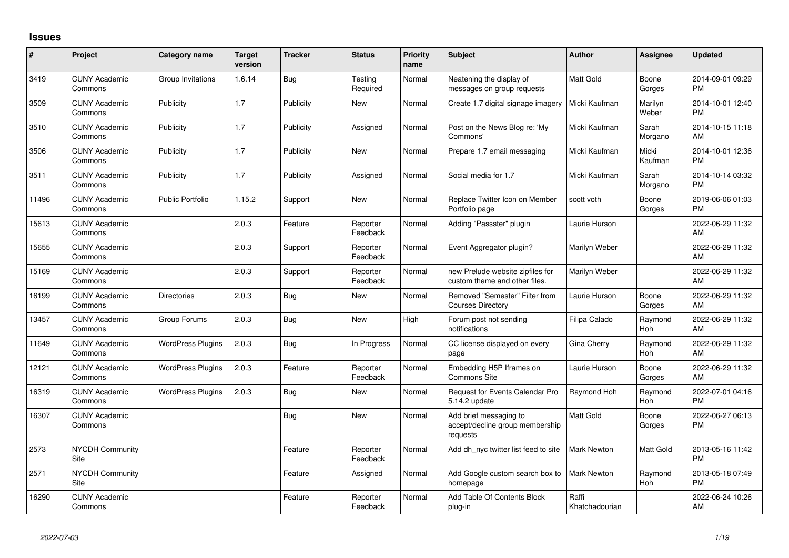## **Issues**

| $\pmb{\#}$ | Project                         | <b>Category name</b>     | <b>Target</b><br>version | <b>Tracker</b> | <b>Status</b>        | <b>Priority</b><br>name | <b>Subject</b>                                                        | <b>Author</b>           | Assignee         | <b>Updated</b>                |
|------------|---------------------------------|--------------------------|--------------------------|----------------|----------------------|-------------------------|-----------------------------------------------------------------------|-------------------------|------------------|-------------------------------|
| 3419       | <b>CUNY Academic</b><br>Commons | Group Invitations        | 1.6.14                   | Bug            | Testing<br>Required  | Normal                  | Neatening the display of<br>messages on group requests                | Matt Gold               | Boone<br>Gorges  | 2014-09-01 09:29<br><b>PM</b> |
| 3509       | <b>CUNY Academic</b><br>Commons | Publicity                | 1.7                      | Publicity      | New                  | Normal                  | Create 1.7 digital signage imagery                                    | Micki Kaufman           | Marilyn<br>Weber | 2014-10-01 12:40<br><b>PM</b> |
| 3510       | <b>CUNY Academic</b><br>Commons | Publicity                | 1.7                      | Publicity      | Assigned             | Normal                  | Post on the News Blog re: 'My<br>Commons'                             | Micki Kaufman           | Sarah<br>Morgano | 2014-10-15 11:18<br>AM        |
| 3506       | <b>CUNY Academic</b><br>Commons | Publicity                | 1.7                      | Publicity      | <b>New</b>           | Normal                  | Prepare 1.7 email messaging                                           | Micki Kaufman           | Micki<br>Kaufman | 2014-10-01 12:36<br><b>PM</b> |
| 3511       | <b>CUNY Academic</b><br>Commons | Publicity                | 1.7                      | Publicity      | Assigned             | Normal                  | Social media for 1.7                                                  | Micki Kaufman           | Sarah<br>Morgano | 2014-10-14 03:32<br><b>PM</b> |
| 11496      | <b>CUNY Academic</b><br>Commons | <b>Public Portfolio</b>  | 1.15.2                   | Support        | New                  | Normal                  | Replace Twitter Icon on Member<br>Portfolio page                      | scott voth              | Boone<br>Gorges  | 2019-06-06 01:03<br><b>PM</b> |
| 15613      | <b>CUNY Academic</b><br>Commons |                          | 2.0.3                    | Feature        | Reporter<br>Feedback | Normal                  | Adding "Passster" plugin                                              | Laurie Hurson           |                  | 2022-06-29 11:32<br>AM        |
| 15655      | <b>CUNY Academic</b><br>Commons |                          | 2.0.3                    | Support        | Reporter<br>Feedback | Normal                  | Event Aggregator plugin?                                              | Marilyn Weber           |                  | 2022-06-29 11:32<br>AM        |
| 15169      | <b>CUNY Academic</b><br>Commons |                          | 2.0.3                    | Support        | Reporter<br>Feedback | Normal                  | new Prelude website zipfiles for<br>custom theme and other files.     | Marilyn Weber           |                  | 2022-06-29 11:32<br>AM        |
| 16199      | <b>CUNY Academic</b><br>Commons | <b>Directories</b>       | 2.0.3                    | Bug            | <b>New</b>           | Normal                  | Removed "Semester" Filter from<br><b>Courses Directory</b>            | Laurie Hurson           | Boone<br>Gorges  | 2022-06-29 11:32<br>AM        |
| 13457      | <b>CUNY Academic</b><br>Commons | Group Forums             | 2.0.3                    | Bug            | New                  | High                    | Forum post not sending<br>notifications                               | Filipa Calado           | Raymond<br>Hoh   | 2022-06-29 11:32<br>AM        |
| 11649      | <b>CUNY Academic</b><br>Commons | <b>WordPress Plugins</b> | 2.0.3                    | <b>Bug</b>     | In Progress          | Normal                  | CC license displayed on every<br>page                                 | Gina Cherry             | Raymond<br>Hoh   | 2022-06-29 11:32<br>AM        |
| 12121      | <b>CUNY Academic</b><br>Commons | <b>WordPress Plugins</b> | 2.0.3                    | Feature        | Reporter<br>Feedback | Normal                  | Embedding H5P Iframes on<br>Commons Site                              | Laurie Hurson           | Boone<br>Gorges  | 2022-06-29 11:32<br>AM        |
| 16319      | <b>CUNY Academic</b><br>Commons | <b>WordPress Plugins</b> | 2.0.3                    | Bug            | New                  | Normal                  | Request for Events Calendar Pro<br>5.14.2 update                      | Raymond Hoh             | Raymond<br>Hoh   | 2022-07-01 04:16<br><b>PM</b> |
| 16307      | <b>CUNY Academic</b><br>Commons |                          |                          | <b>Bug</b>     | New                  | Normal                  | Add brief messaging to<br>accept/decline group membership<br>requests | <b>Matt Gold</b>        | Boone<br>Gorges  | 2022-06-27 06:13<br><b>PM</b> |
| 2573       | <b>NYCDH Community</b><br>Site  |                          |                          | Feature        | Reporter<br>Feedback | Normal                  | Add dh nyc twitter list feed to site                                  | Mark Newton             | Matt Gold        | 2013-05-16 11:42<br><b>PM</b> |
| 2571       | <b>NYCDH Community</b><br>Site  |                          |                          | Feature        | Assigned             | Normal                  | Add Google custom search box to<br>homepage                           | <b>Mark Newton</b>      | Raymond<br>Hoh   | 2013-05-18 07:49<br><b>PM</b> |
| 16290      | <b>CUNY Academic</b><br>Commons |                          |                          | Feature        | Reporter<br>Feedback | Normal                  | Add Table Of Contents Block<br>plug-in                                | Raffi<br>Khatchadourian |                  | 2022-06-24 10:26<br>AM        |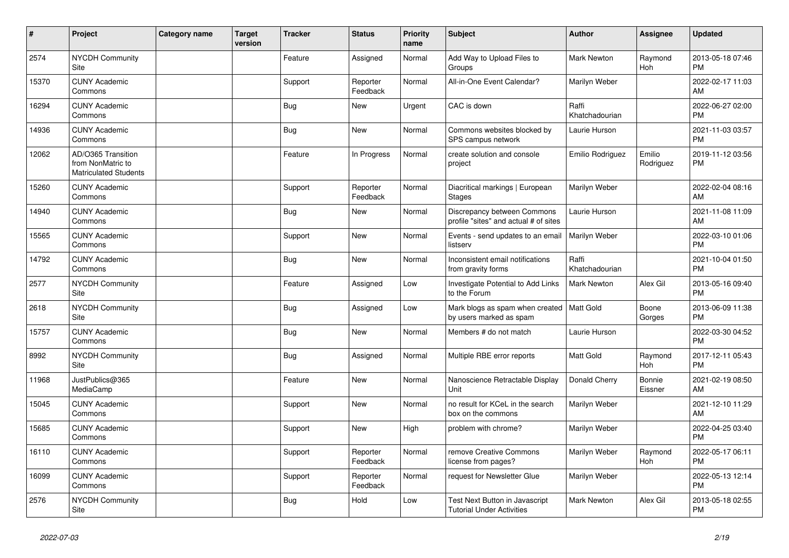| ∦     | Project                                                                 | Category name | <b>Target</b><br>version | <b>Tracker</b> | <b>Status</b>        | <b>Priority</b><br>name | <b>Subject</b>                                                       | Author                  | <b>Assignee</b>     | <b>Updated</b>                |
|-------|-------------------------------------------------------------------------|---------------|--------------------------|----------------|----------------------|-------------------------|----------------------------------------------------------------------|-------------------------|---------------------|-------------------------------|
| 2574  | <b>NYCDH Community</b><br>Site                                          |               |                          | Feature        | Assigned             | Normal                  | Add Way to Upload Files to<br>Groups                                 | <b>Mark Newton</b>      | Raymond<br>Hoh      | 2013-05-18 07:46<br><b>PM</b> |
| 15370 | <b>CUNY Academic</b><br>Commons                                         |               |                          | Support        | Reporter<br>Feedback | Normal                  | All-in-One Event Calendar?                                           | Marilyn Weber           |                     | 2022-02-17 11:03<br>AM        |
| 16294 | <b>CUNY Academic</b><br>Commons                                         |               |                          | Bug            | <b>New</b>           | Urgent                  | CAC is down                                                          | Raffi<br>Khatchadourian |                     | 2022-06-27 02:00<br><b>PM</b> |
| 14936 | <b>CUNY Academic</b><br>Commons                                         |               |                          | <b>Bug</b>     | <b>New</b>           | Normal                  | Commons websites blocked by<br>SPS campus network                    | Laurie Hurson           |                     | 2021-11-03 03:57<br><b>PM</b> |
| 12062 | AD/O365 Transition<br>from NonMatric to<br><b>Matriculated Students</b> |               |                          | Feature        | In Progress          | Normal                  | create solution and console<br>project                               | Emilio Rodriguez        | Emilio<br>Rodriguez | 2019-11-12 03:56<br><b>PM</b> |
| 15260 | <b>CUNY Academic</b><br>Commons                                         |               |                          | Support        | Reporter<br>Feedback | Normal                  | Diacritical markings   European<br><b>Stages</b>                     | Marilyn Weber           |                     | 2022-02-04 08:16<br>AM        |
| 14940 | <b>CUNY Academic</b><br>Commons                                         |               |                          | <b>Bug</b>     | <b>New</b>           | Normal                  | Discrepancy between Commons<br>profile "sites" and actual # of sites | Laurie Hurson           |                     | 2021-11-08 11:09<br>AM        |
| 15565 | <b>CUNY Academic</b><br>Commons                                         |               |                          | Support        | New                  | Normal                  | Events - send updates to an email<br>listserv                        | Marilyn Weber           |                     | 2022-03-10 01:06<br><b>PM</b> |
| 14792 | <b>CUNY Academic</b><br>Commons                                         |               |                          | Bug            | <b>New</b>           | Normal                  | Inconsistent email notifications<br>from gravity forms               | Raffi<br>Khatchadourian |                     | 2021-10-04 01:50<br><b>PM</b> |
| 2577  | <b>NYCDH Community</b><br>Site                                          |               |                          | Feature        | Assigned             | Low                     | Investigate Potential to Add Links<br>to the Forum                   | <b>Mark Newton</b>      | Alex Gil            | 2013-05-16 09:40<br><b>PM</b> |
| 2618  | NYCDH Community<br>Site                                                 |               |                          | Bug            | Assigned             | Low                     | Mark blogs as spam when created<br>by users marked as spam           | Matt Gold               | Boone<br>Gorges     | 2013-06-09 11:38<br><b>PM</b> |
| 15757 | <b>CUNY Academic</b><br>Commons                                         |               |                          | Bug            | <b>New</b>           | Normal                  | Members # do not match                                               | Laurie Hurson           |                     | 2022-03-30 04:52<br><b>PM</b> |
| 8992  | NYCDH Community<br>Site                                                 |               |                          | <b>Bug</b>     | Assigned             | Normal                  | Multiple RBE error reports                                           | <b>Matt Gold</b>        | Raymond<br>Hoh      | 2017-12-11 05:43<br><b>PM</b> |
| 11968 | JustPublics@365<br>MediaCamp                                            |               |                          | Feature        | <b>New</b>           | Normal                  | Nanoscience Retractable Display<br>Unit                              | Donald Cherry           | Bonnie<br>Eissner   | 2021-02-19 08:50<br>AM        |
| 15045 | <b>CUNY Academic</b><br>Commons                                         |               |                          | Support        | New                  | Normal                  | no result for KCeL in the search<br>box on the commons               | Marilyn Weber           |                     | 2021-12-10 11:29<br>AM        |
| 15685 | <b>CUNY Academic</b><br>Commons                                         |               |                          | Support        | <b>New</b>           | High                    | problem with chrome?                                                 | Marilyn Weber           |                     | 2022-04-25 03:40<br><b>PM</b> |
| 16110 | <b>CUNY Academic</b><br>Commons                                         |               |                          | Support        | Reporter<br>Feedback | Normal                  | remove Creative Commons<br>license from pages?                       | Marilyn Weber           | Raymond<br>Hoh      | 2022-05-17 06:11<br><b>PM</b> |
| 16099 | <b>CUNY Academic</b><br>Commons                                         |               |                          | Support        | Reporter<br>Feedback | Normal                  | request for Newsletter Glue                                          | Marilyn Weber           |                     | 2022-05-13 12:14<br><b>PM</b> |
| 2576  | <b>NYCDH Community</b><br>Site                                          |               |                          | Bug            | Hold                 | Low                     | Test Next Button in Javascript<br><b>Tutorial Under Activities</b>   | <b>Mark Newton</b>      | Alex Gil            | 2013-05-18 02:55<br><b>PM</b> |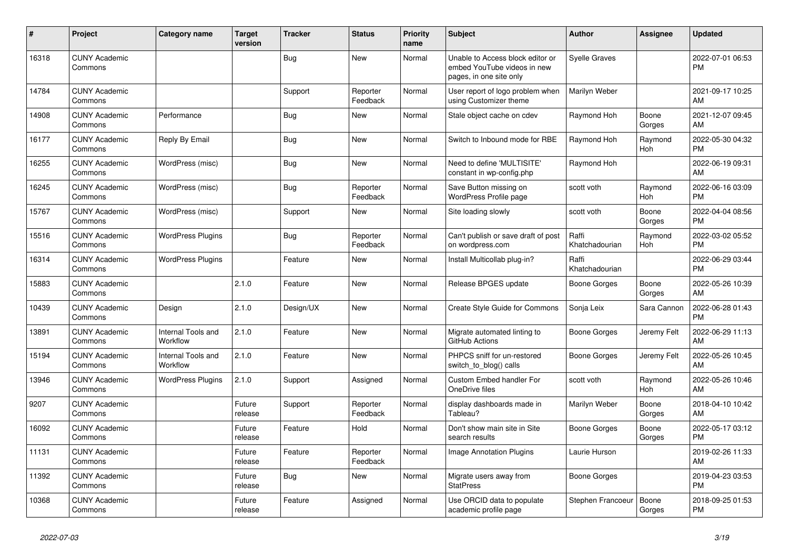| #     | Project                         | <b>Category name</b>           | <b>Target</b><br>version | <b>Tracker</b> | <b>Status</b>        | <b>Priority</b><br>name | <b>Subject</b>                                                                             | <b>Author</b>           | <b>Assignee</b> | <b>Updated</b>                |
|-------|---------------------------------|--------------------------------|--------------------------|----------------|----------------------|-------------------------|--------------------------------------------------------------------------------------------|-------------------------|-----------------|-------------------------------|
| 16318 | <b>CUNY Academic</b><br>Commons |                                |                          | Bug            | New                  | Normal                  | Unable to Access block editor or<br>embed YouTube videos in new<br>pages, in one site only | <b>Syelle Graves</b>    |                 | 2022-07-01 06:53<br><b>PM</b> |
| 14784 | <b>CUNY Academic</b><br>Commons |                                |                          | Support        | Reporter<br>Feedback | Normal                  | User report of logo problem when<br>using Customizer theme                                 | Marilyn Weber           |                 | 2021-09-17 10:25<br>AM        |
| 14908 | <b>CUNY Academic</b><br>Commons | Performance                    |                          | <b>Bug</b>     | New                  | Normal                  | Stale object cache on cdev                                                                 | Raymond Hoh             | Boone<br>Gorges | 2021-12-07 09:45<br>AM        |
| 16177 | <b>CUNY Academic</b><br>Commons | Reply By Email                 |                          | Bug            | New                  | Normal                  | Switch to Inbound mode for RBE                                                             | Raymond Hoh             | Raymond<br>Hoh  | 2022-05-30 04:32<br><b>PM</b> |
| 16255 | <b>CUNY Academic</b><br>Commons | WordPress (misc)               |                          | Bug            | <b>New</b>           | Normal                  | Need to define 'MULTISITE'<br>constant in wp-config.php                                    | Raymond Hoh             |                 | 2022-06-19 09:31<br>AM        |
| 16245 | <b>CUNY Academic</b><br>Commons | WordPress (misc)               |                          | Bug            | Reporter<br>Feedback | Normal                  | Save Button missing on<br><b>WordPress Profile page</b>                                    | scott voth              | Raymond<br>Hoh  | 2022-06-16 03:09<br>PM        |
| 15767 | <b>CUNY Academic</b><br>Commons | WordPress (misc)               |                          | Support        | New                  | Normal                  | Site loading slowly                                                                        | scott voth              | Boone<br>Gorges | 2022-04-04 08:56<br><b>PM</b> |
| 15516 | <b>CUNY Academic</b><br>Commons | <b>WordPress Plugins</b>       |                          | Bug            | Reporter<br>Feedback | Normal                  | Can't publish or save draft of post<br>on wordpress.com                                    | Raffi<br>Khatchadourian | Raymond<br>Hoh  | 2022-03-02 05:52<br><b>PM</b> |
| 16314 | <b>CUNY Academic</b><br>Commons | <b>WordPress Plugins</b>       |                          | Feature        | <b>New</b>           | Normal                  | Install Multicollab plug-in?                                                               | Raffi<br>Khatchadourian |                 | 2022-06-29 03:44<br><b>PM</b> |
| 15883 | <b>CUNY Academic</b><br>Commons |                                | 2.1.0                    | Feature        | New                  | Normal                  | Release BPGES update                                                                       | Boone Gorges            | Boone<br>Gorges | 2022-05-26 10:39<br><b>AM</b> |
| 10439 | <b>CUNY Academic</b><br>Commons | Design                         | 2.1.0                    | Design/UX      | <b>New</b>           | Normal                  | Create Style Guide for Commons                                                             | Sonja Leix              | Sara Cannon     | 2022-06-28 01:43<br><b>PM</b> |
| 13891 | <b>CUNY Academic</b><br>Commons | Internal Tools and<br>Workflow | 2.1.0                    | Feature        | <b>New</b>           | Normal                  | Migrate automated linting to<br>GitHub Actions                                             | Boone Gorges            | Jeremy Felt     | 2022-06-29 11:13<br>AM        |
| 15194 | <b>CUNY Academic</b><br>Commons | Internal Tools and<br>Workflow | 2.1.0                    | Feature        | New                  | Normal                  | PHPCS sniff for un-restored<br>switch to blog() calls                                      | Boone Gorges            | Jeremy Felt     | 2022-05-26 10:45<br>AM        |
| 13946 | <b>CUNY Academic</b><br>Commons | <b>WordPress Plugins</b>       | 2.1.0                    | Support        | Assigned             | Normal                  | <b>Custom Embed handler For</b><br>OneDrive files                                          | scott voth              | Raymond<br>Hoh  | 2022-05-26 10:46<br><b>AM</b> |
| 9207  | <b>CUNY Academic</b><br>Commons |                                | Future<br>release        | Support        | Reporter<br>Feedback | Normal                  | display dashboards made in<br>Tableau?                                                     | Marilyn Weber           | Boone<br>Gorges | 2018-04-10 10:42<br>AM        |
| 16092 | <b>CUNY Academic</b><br>Commons |                                | Future<br>release        | Feature        | Hold                 | Normal                  | Don't show main site in Site<br>search results                                             | Boone Gorges            | Boone<br>Gorges | 2022-05-17 03:12<br><b>PM</b> |
| 11131 | <b>CUNY Academic</b><br>Commons |                                | Future<br>release        | Feature        | Reporter<br>Feedback | Normal                  | Image Annotation Plugins                                                                   | Laurie Hurson           |                 | 2019-02-26 11:33<br><b>AM</b> |
| 11392 | <b>CUNY Academic</b><br>Commons |                                | Future<br>release        | Bug            | <b>New</b>           | Normal                  | Migrate users away from<br><b>StatPress</b>                                                | Boone Gorges            |                 | 2019-04-23 03:53<br><b>PM</b> |
| 10368 | <b>CUNY Academic</b><br>Commons |                                | Future<br>release        | Feature        | Assigned             | Normal                  | Use ORCID data to populate<br>academic profile page                                        | Stephen Francoeur       | Boone<br>Gorges | 2018-09-25 01:53<br>PM        |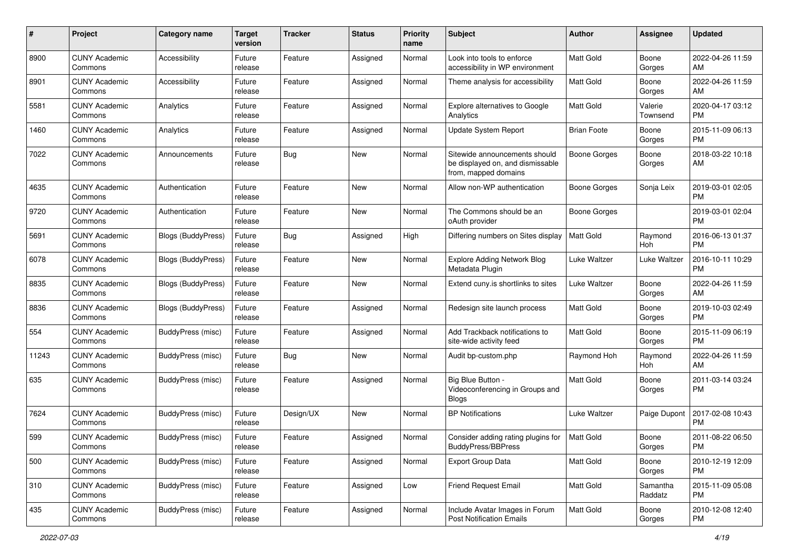| #     | Project                         | <b>Category name</b>      | <b>Target</b><br>version | <b>Tracker</b> | <b>Status</b> | <b>Priority</b><br>name | <b>Subject</b>                                                                            | Author             | Assignee            | <b>Updated</b>                |
|-------|---------------------------------|---------------------------|--------------------------|----------------|---------------|-------------------------|-------------------------------------------------------------------------------------------|--------------------|---------------------|-------------------------------|
| 8900  | <b>CUNY Academic</b><br>Commons | Accessibility             | Future<br>release        | Feature        | Assigned      | Normal                  | Look into tools to enforce<br>accessibility in WP environment                             | <b>Matt Gold</b>   | Boone<br>Gorges     | 2022-04-26 11:59<br>AM        |
| 8901  | <b>CUNY Academic</b><br>Commons | Accessibility             | Future<br>release        | Feature        | Assigned      | Normal                  | Theme analysis for accessibility                                                          | <b>Matt Gold</b>   | Boone<br>Gorges     | 2022-04-26 11:59<br>AM        |
| 5581  | <b>CUNY Academic</b><br>Commons | Analytics                 | Future<br>release        | Feature        | Assigned      | Normal                  | Explore alternatives to Google<br>Analytics                                               | <b>Matt Gold</b>   | Valerie<br>Townsend | 2020-04-17 03:12<br><b>PM</b> |
| 1460  | <b>CUNY Academic</b><br>Commons | Analytics                 | Future<br>release        | Feature        | Assigned      | Normal                  | Update System Report                                                                      | <b>Brian Foote</b> | Boone<br>Gorges     | 2015-11-09 06:13<br>PM.       |
| 7022  | <b>CUNY Academic</b><br>Commons | Announcements             | Future<br>release        | Bug            | New           | Normal                  | Sitewide announcements should<br>be displayed on, and dismissable<br>from, mapped domains | Boone Gorges       | Boone<br>Gorges     | 2018-03-22 10:18<br>AM        |
| 4635  | <b>CUNY Academic</b><br>Commons | Authentication            | Future<br>release        | Feature        | New           | Normal                  | Allow non-WP authentication                                                               | Boone Gorges       | Sonja Leix          | 2019-03-01 02:05<br><b>PM</b> |
| 9720  | <b>CUNY Academic</b><br>Commons | Authentication            | Future<br>release        | Feature        | New           | Normal                  | The Commons should be an<br>oAuth provider                                                | Boone Gorges       |                     | 2019-03-01 02:04<br><b>PM</b> |
| 5691  | <b>CUNY Academic</b><br>Commons | <b>Blogs (BuddyPress)</b> | Future<br>release        | Bug            | Assigned      | High                    | Differing numbers on Sites display                                                        | <b>Matt Gold</b>   | Raymond<br>Hoh      | 2016-06-13 01:37<br><b>PM</b> |
| 6078  | <b>CUNY Academic</b><br>Commons | Blogs (BuddyPress)        | Future<br>release        | Feature        | New           | Normal                  | <b>Explore Adding Network Blog</b><br>Metadata Plugin                                     | Luke Waltzer       | Luke Waltzer        | 2016-10-11 10:29<br><b>PM</b> |
| 8835  | <b>CUNY Academic</b><br>Commons | <b>Blogs (BuddyPress)</b> | Future<br>release        | Feature        | New           | Normal                  | Extend cuny.is shortlinks to sites                                                        | Luke Waltzer       | Boone<br>Gorges     | 2022-04-26 11:59<br>AM        |
| 8836  | <b>CUNY Academic</b><br>Commons | <b>Blogs (BuddyPress)</b> | Future<br>release        | Feature        | Assigned      | Normal                  | Redesign site launch process                                                              | <b>Matt Gold</b>   | Boone<br>Gorges     | 2019-10-03 02:49<br><b>PM</b> |
| 554   | <b>CUNY Academic</b><br>Commons | BuddyPress (misc)         | Future<br>release        | Feature        | Assigned      | Normal                  | Add Trackback notifications to<br>site-wide activity feed                                 | <b>Matt Gold</b>   | Boone<br>Gorges     | 2015-11-09 06:19<br><b>PM</b> |
| 11243 | <b>CUNY Academic</b><br>Commons | BuddyPress (misc)         | Future<br>release        | Bug            | New           | Normal                  | Audit bp-custom.php                                                                       | Raymond Hoh        | Raymond<br>Hoh      | 2022-04-26 11:59<br>AM        |
| 635   | <b>CUNY Academic</b><br>Commons | <b>BuddyPress (misc)</b>  | Future<br>release        | Feature        | Assigned      | Normal                  | Big Blue Button -<br>Videoconferencing in Groups and<br><b>Blogs</b>                      | <b>Matt Gold</b>   | Boone<br>Gorges     | 2011-03-14 03:24<br><b>PM</b> |
| 7624  | <b>CUNY Academic</b><br>Commons | <b>BuddyPress</b> (misc)  | Future<br>release        | Design/UX      | New           | Normal                  | <b>BP Notifications</b>                                                                   | Luke Waltzer       | Paige Dupont        | 2017-02-08 10:43<br><b>PM</b> |
| 599   | <b>CUNY Academic</b><br>Commons | <b>BuddyPress (misc)</b>  | Future<br>release        | Feature        | Assigned      | Normal                  | Consider adding rating plugins for<br>BuddyPress/BBPress                                  | <b>Matt Gold</b>   | Boone<br>Gorges     | 2011-08-22 06:50<br>PM        |
| 500   | <b>CUNY Academic</b><br>Commons | BuddyPress (misc)         | Future<br>release        | Feature        | Assigned      | Normal                  | <b>Export Group Data</b>                                                                  | Matt Gold          | Boone<br>Gorges     | 2010-12-19 12:09<br><b>PM</b> |
| 310   | <b>CUNY Academic</b><br>Commons | BuddyPress (misc)         | Future<br>release        | Feature        | Assigned      | Low                     | Friend Request Email                                                                      | Matt Gold          | Samantha<br>Raddatz | 2015-11-09 05:08<br><b>PM</b> |
| 435   | <b>CUNY Academic</b><br>Commons | BuddyPress (misc)         | Future<br>release        | Feature        | Assigned      | Normal                  | Include Avatar Images in Forum<br><b>Post Notification Emails</b>                         | Matt Gold          | Boone<br>Gorges     | 2010-12-08 12:40<br>PM        |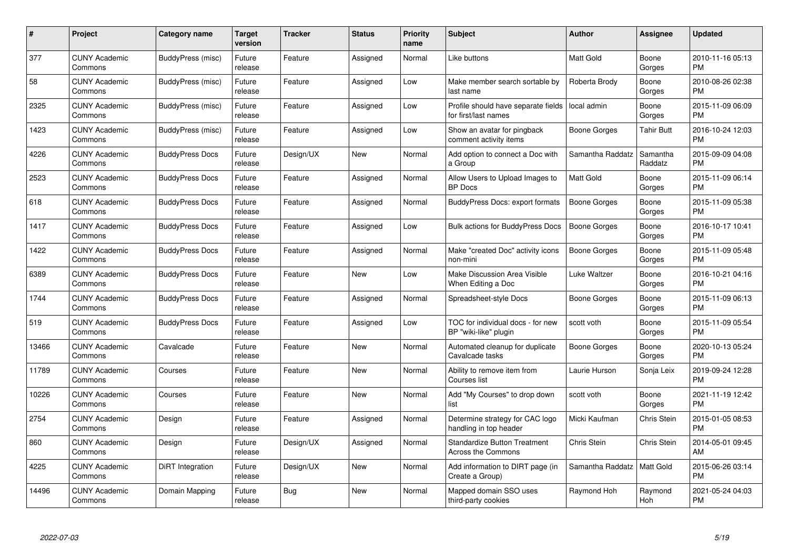| $\#$  | Project                         | <b>Category name</b>   | Target<br>version | <b>Tracker</b> | <b>Status</b> | Priority<br>name | <b>Subject</b>                                              | <b>Author</b>       | <b>Assignee</b>     | <b>Updated</b>                |
|-------|---------------------------------|------------------------|-------------------|----------------|---------------|------------------|-------------------------------------------------------------|---------------------|---------------------|-------------------------------|
| 377   | <b>CUNY Academic</b><br>Commons | BuddyPress (misc)      | Future<br>release | Feature        | Assigned      | Normal           | Like buttons                                                | <b>Matt Gold</b>    | Boone<br>Gorges     | 2010-11-16 05:13<br><b>PM</b> |
| 58    | <b>CUNY Academic</b><br>Commons | BuddyPress (misc)      | Future<br>release | Feature        | Assigned      | Low              | Make member search sortable by<br>last name                 | Roberta Brody       | Boone<br>Gorges     | 2010-08-26 02:38<br><b>PM</b> |
| 2325  | <b>CUNY Academic</b><br>Commons | BuddyPress (misc)      | Future<br>release | Feature        | Assigned      | Low              | Profile should have separate fields<br>for first/last names | local admin         | Boone<br>Gorges     | 2015-11-09 06:09<br><b>PM</b> |
| 1423  | <b>CUNY Academic</b><br>Commons | BuddyPress (misc)      | Future<br>release | Feature        | Assigned      | Low              | Show an avatar for pingback<br>comment activity items       | Boone Gorges        | Tahir Butt          | 2016-10-24 12:03<br><b>PM</b> |
| 4226  | <b>CUNY Academic</b><br>Commons | <b>BuddyPress Docs</b> | Future<br>release | Design/UX      | <b>New</b>    | Normal           | Add option to connect a Doc with<br>a Group                 | Samantha Raddatz    | Samantha<br>Raddatz | 2015-09-09 04:08<br><b>PM</b> |
| 2523  | <b>CUNY Academic</b><br>Commons | <b>BuddyPress Docs</b> | Future<br>release | Feature        | Assigned      | Normal           | Allow Users to Upload Images to<br><b>BP</b> Docs           | Matt Gold           | Boone<br>Gorges     | 2015-11-09 06:14<br><b>PM</b> |
| 618   | <b>CUNY Academic</b><br>Commons | <b>BuddyPress Docs</b> | Future<br>release | Feature        | Assigned      | Normal           | <b>BuddyPress Docs: export formats</b>                      | Boone Gorges        | Boone<br>Gorges     | 2015-11-09 05:38<br><b>PM</b> |
| 1417  | <b>CUNY Academic</b><br>Commons | <b>BuddyPress Docs</b> | Future<br>release | Feature        | Assigned      | Low              | <b>Bulk actions for BuddyPress Docs</b>                     | <b>Boone Gorges</b> | Boone<br>Gorges     | 2016-10-17 10:41<br><b>PM</b> |
| 1422  | <b>CUNY Academic</b><br>Commons | <b>BuddyPress Docs</b> | Future<br>release | Feature        | Assigned      | Normal           | Make "created Doc" activity icons<br>non-mini               | Boone Gorges        | Boone<br>Gorges     | 2015-11-09 05:48<br><b>PM</b> |
| 6389  | <b>CUNY Academic</b><br>Commons | <b>BuddyPress Docs</b> | Future<br>release | Feature        | <b>New</b>    | Low              | Make Discussion Area Visible<br>When Editing a Doc          | Luke Waltzer        | Boone<br>Gorges     | 2016-10-21 04:16<br><b>PM</b> |
| 1744  | <b>CUNY Academic</b><br>Commons | <b>BuddyPress Docs</b> | Future<br>release | Feature        | Assigned      | Normal           | Spreadsheet-style Docs                                      | Boone Gorges        | Boone<br>Gorges     | 2015-11-09 06:13<br><b>PM</b> |
| 519   | <b>CUNY Academic</b><br>Commons | <b>BuddyPress Docs</b> | Future<br>release | Feature        | Assigned      | Low              | TOC for individual docs - for new<br>BP "wiki-like" plugin  | scott voth          | Boone<br>Gorges     | 2015-11-09 05:54<br><b>PM</b> |
| 13466 | <b>CUNY Academic</b><br>Commons | Cavalcade              | Future<br>release | Feature        | New           | Normal           | Automated cleanup for duplicate<br>Cavalcade tasks          | Boone Gorges        | Boone<br>Gorges     | 2020-10-13 05:24<br><b>PM</b> |
| 11789 | <b>CUNY Academic</b><br>Commons | Courses                | Future<br>release | Feature        | New           | Normal           | Ability to remove item from<br>Courses list                 | Laurie Hurson       | Sonja Leix          | 2019-09-24 12:28<br><b>PM</b> |
| 10226 | <b>CUNY Academic</b><br>Commons | Courses                | Future<br>release | Feature        | New           | Normal           | Add "My Courses" to drop down<br>list                       | scott voth          | Boone<br>Gorges     | 2021-11-19 12:42<br><b>PM</b> |
| 2754  | <b>CUNY Academic</b><br>Commons | Design                 | Future<br>release | Feature        | Assigned      | Normal           | Determine strategy for CAC logo<br>handling in top header   | Micki Kaufman       | Chris Stein         | 2015-01-05 08:53<br><b>PM</b> |
| 860   | <b>CUNY Academic</b><br>Commons | Design                 | Future<br>release | Design/UX      | Assigned      | Normal           | <b>Standardize Button Treatment</b><br>Across the Commons   | Chris Stein         | Chris Stein         | 2014-05-01 09:45<br>AM        |
| 4225  | <b>CUNY Academic</b><br>Commons | DiRT Integration       | Future<br>release | Design/UX      | New           | Normal           | Add information to DIRT page (in<br>Create a Group)         | Samantha Raddatz    | Matt Gold           | 2015-06-26 03:14<br><b>PM</b> |
| 14496 | <b>CUNY Academic</b><br>Commons | Domain Mapping         | Future<br>release | Bug            | <b>New</b>    | Normal           | Mapped domain SSO uses<br>third-party cookies               | Raymond Hoh         | Raymond<br>Hoh      | 2021-05-24 04:03<br><b>PM</b> |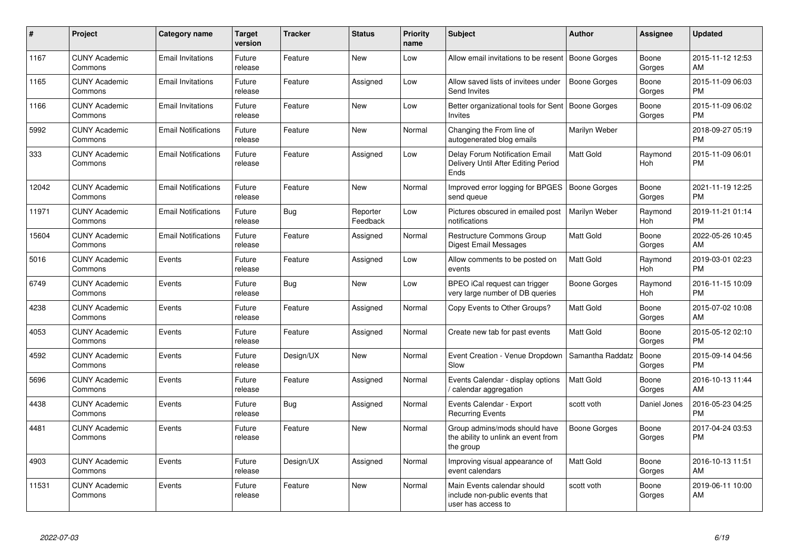| #     | Project                         | <b>Category name</b>       | <b>Target</b><br>version | <b>Tracker</b> | <b>Status</b>        | <b>Priority</b><br>name | <b>Subject</b>                                                                      | <b>Author</b>       | <b>Assignee</b> | <b>Updated</b>                |
|-------|---------------------------------|----------------------------|--------------------------|----------------|----------------------|-------------------------|-------------------------------------------------------------------------------------|---------------------|-----------------|-------------------------------|
| 1167  | <b>CUNY Academic</b><br>Commons | <b>Email Invitations</b>   | Future<br>release        | Feature        | <b>New</b>           | Low                     | Allow email invitations to be resent   Boone Gorges                                 |                     | Boone<br>Gorges | 2015-11-12 12:53<br>AM        |
| 1165  | <b>CUNY Academic</b><br>Commons | <b>Email Invitations</b>   | Future<br>release        | Feature        | Assigned             | Low                     | Allow saved lists of invitees under<br>Send Invites                                 | <b>Boone Gorges</b> | Boone<br>Gorges | 2015-11-09 06:03<br><b>PM</b> |
| 1166  | <b>CUNY Academic</b><br>Commons | <b>Email Invitations</b>   | Future<br>release        | Feature        | New                  | Low                     | Better organizational tools for Sent<br>Invites                                     | Boone Gorges        | Boone<br>Gorges | 2015-11-09 06:02<br><b>PM</b> |
| 5992  | <b>CUNY Academic</b><br>Commons | <b>Email Notifications</b> | Future<br>release        | Feature        | New                  | Normal                  | Changing the From line of<br>autogenerated blog emails                              | Marilyn Weber       |                 | 2018-09-27 05:19<br><b>PM</b> |
| 333   | <b>CUNY Academic</b><br>Commons | <b>Email Notifications</b> | Future<br>release        | Feature        | Assigned             | Low                     | Delay Forum Notification Email<br>Delivery Until After Editing Period<br>Ends       | <b>Matt Gold</b>    | Raymond<br>Hoh  | 2015-11-09 06:01<br><b>PM</b> |
| 12042 | <b>CUNY Academic</b><br>Commons | <b>Email Notifications</b> | Future<br>release        | Feature        | <b>New</b>           | Normal                  | Improved error logging for BPGES<br>send queue                                      | <b>Boone Gorges</b> | Boone<br>Gorges | 2021-11-19 12:25<br><b>PM</b> |
| 11971 | <b>CUNY Academic</b><br>Commons | <b>Email Notifications</b> | Future<br>release        | Bug            | Reporter<br>Feedback | Low                     | Pictures obscured in emailed post<br>notifications                                  | Marilyn Weber       | Raymond<br>Hoh  | 2019-11-21 01:14<br><b>PM</b> |
| 15604 | <b>CUNY Academic</b><br>Commons | <b>Email Notifications</b> | Future<br>release        | Feature        | Assigned             | Normal                  | <b>Restructure Commons Group</b><br><b>Digest Email Messages</b>                    | <b>Matt Gold</b>    | Boone<br>Gorges | 2022-05-26 10:45<br>AM        |
| 5016  | <b>CUNY Academic</b><br>Commons | Events                     | Future<br>release        | Feature        | Assigned             | Low                     | Allow comments to be posted on<br>events                                            | <b>Matt Gold</b>    | Raymond<br>Hoh  | 2019-03-01 02:23<br><b>PM</b> |
| 6749  | <b>CUNY Academic</b><br>Commons | Events                     | Future<br>release        | Bug            | <b>New</b>           | Low                     | BPEO iCal request can trigger<br>very large number of DB queries                    | Boone Gorges        | Raymond<br>Hoh  | 2016-11-15 10:09<br><b>PM</b> |
| 4238  | <b>CUNY Academic</b><br>Commons | Events                     | Future<br>release        | Feature        | Assigned             | Normal                  | Copy Events to Other Groups?                                                        | <b>Matt Gold</b>    | Boone<br>Gorges | 2015-07-02 10:08<br>AM        |
| 4053  | <b>CUNY Academic</b><br>Commons | Events                     | Future<br>release        | Feature        | Assigned             | Normal                  | Create new tab for past events                                                      | <b>Matt Gold</b>    | Boone<br>Gorges | 2015-05-12 02:10<br><b>PM</b> |
| 4592  | <b>CUNY Academic</b><br>Commons | Events                     | Future<br>release        | Design/UX      | <b>New</b>           | Normal                  | Event Creation - Venue Dropdown<br>Slow                                             | Samantha Raddatz    | Boone<br>Gorges | 2015-09-14 04:56<br><b>PM</b> |
| 5696  | <b>CUNY Academic</b><br>Commons | Events                     | Future<br>release        | Feature        | Assigned             | Normal                  | Events Calendar - display options<br>/ calendar aggregation                         | <b>Matt Gold</b>    | Boone<br>Gorges | 2016-10-13 11:44<br>AM        |
| 4438  | <b>CUNY Academic</b><br>Commons | Events                     | Future<br>release        | Bug            | Assigned             | Normal                  | Events Calendar - Export<br><b>Recurring Events</b>                                 | scott voth          | Daniel Jones    | 2016-05-23 04:25<br><b>PM</b> |
| 4481  | <b>CUNY Academic</b><br>Commons | Events                     | Future<br>release        | Feature        | New                  | Normal                  | Group admins/mods should have<br>the ability to unlink an event from<br>the group   | Boone Gorges        | Boone<br>Gorges | 2017-04-24 03:53<br><b>PM</b> |
| 4903  | <b>CUNY Academic</b><br>Commons | Events                     | Future<br>release        | Design/UX      | Assigned             | Normal                  | Improving visual appearance of<br>event calendars                                   | <b>Matt Gold</b>    | Boone<br>Gorges | 2016-10-13 11:51<br>AM        |
| 11531 | <b>CUNY Academic</b><br>Commons | Events                     | Future<br>release        | Feature        | <b>New</b>           | Normal                  | Main Events calendar should<br>include non-public events that<br>user has access to | scott voth          | Boone<br>Gorges | 2019-06-11 10:00<br>AM        |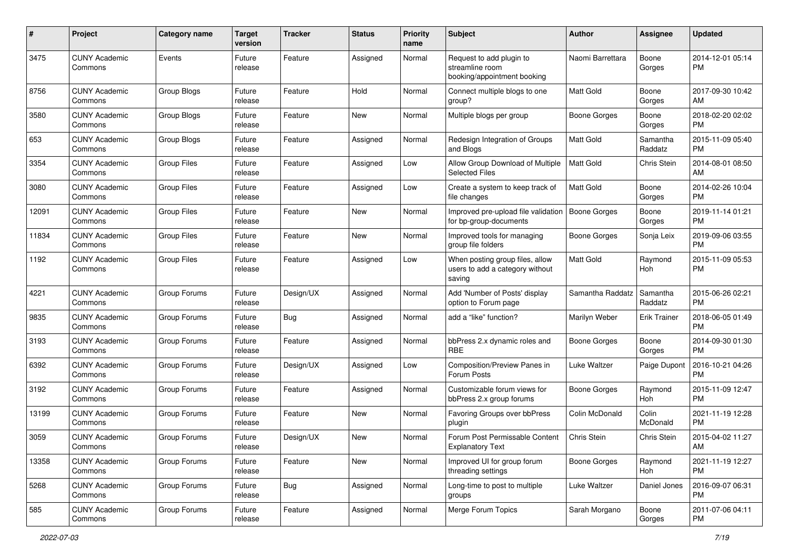| #     | Project                         | <b>Category name</b> | <b>Target</b><br>version | <b>Tracker</b> | <b>Status</b> | Priority<br>name | <b>Subject</b>                                                               | Author              | <b>Assignee</b>     | <b>Updated</b>                |
|-------|---------------------------------|----------------------|--------------------------|----------------|---------------|------------------|------------------------------------------------------------------------------|---------------------|---------------------|-------------------------------|
| 3475  | <b>CUNY Academic</b><br>Commons | Events               | Future<br>release        | Feature        | Assigned      | Normal           | Request to add plugin to<br>streamline room<br>booking/appointment booking   | Naomi Barrettara    | Boone<br>Gorges     | 2014-12-01 05:14<br>PM.       |
| 8756  | <b>CUNY Academic</b><br>Commons | Group Blogs          | Future<br>release        | Feature        | Hold          | Normal           | Connect multiple blogs to one<br>group?                                      | Matt Gold           | Boone<br>Gorges     | 2017-09-30 10:42<br>AM        |
| 3580  | <b>CUNY Academic</b><br>Commons | Group Blogs          | Future<br>release        | Feature        | New           | Normal           | Multiple blogs per group                                                     | Boone Gorges        | Boone<br>Gorges     | 2018-02-20 02:02<br><b>PM</b> |
| 653   | <b>CUNY Academic</b><br>Commons | Group Blogs          | Future<br>release        | Feature        | Assigned      | Normal           | Redesign Integration of Groups<br>and Blogs                                  | <b>Matt Gold</b>    | Samantha<br>Raddatz | 2015-11-09 05:40<br><b>PM</b> |
| 3354  | <b>CUNY Academic</b><br>Commons | <b>Group Files</b>   | Future<br>release        | Feature        | Assigned      | Low              | Allow Group Download of Multiple<br><b>Selected Files</b>                    | <b>Matt Gold</b>    | Chris Stein         | 2014-08-01 08:50<br>AM        |
| 3080  | <b>CUNY Academic</b><br>Commons | <b>Group Files</b>   | Future<br>release        | Feature        | Assigned      | Low              | Create a system to keep track of<br>file changes                             | <b>Matt Gold</b>    | Boone<br>Gorges     | 2014-02-26 10:04<br><b>PM</b> |
| 12091 | <b>CUNY Academic</b><br>Commons | <b>Group Files</b>   | Future<br>release        | Feature        | New           | Normal           | Improved pre-upload file validation<br>for bp-group-documents                | Boone Gorges        | Boone<br>Gorges     | 2019-11-14 01:21<br><b>PM</b> |
| 11834 | <b>CUNY Academic</b><br>Commons | <b>Group Files</b>   | Future<br>release        | Feature        | New           | Normal           | Improved tools for managing<br>group file folders                            | <b>Boone Gorges</b> | Sonja Leix          | 2019-09-06 03:55<br><b>PM</b> |
| 1192  | <b>CUNY Academic</b><br>Commons | <b>Group Files</b>   | Future<br>release        | Feature        | Assigned      | Low              | When posting group files, allow<br>users to add a category without<br>saving | Matt Gold           | Raymond<br>Hoh      | 2015-11-09 05:53<br><b>PM</b> |
| 4221  | <b>CUNY Academic</b><br>Commons | Group Forums         | Future<br>release        | Design/UX      | Assigned      | Normal           | Add 'Number of Posts' display<br>option to Forum page                        | Samantha Raddatz    | Samantha<br>Raddatz | 2015-06-26 02:21<br><b>PM</b> |
| 9835  | <b>CUNY Academic</b><br>Commons | Group Forums         | Future<br>release        | Bug            | Assigned      | Normal           | add a "like" function?                                                       | Marilyn Weber       | Erik Trainer        | 2018-06-05 01:49<br><b>PM</b> |
| 3193  | <b>CUNY Academic</b><br>Commons | Group Forums         | Future<br>release        | Feature        | Assigned      | Normal           | bbPress 2.x dynamic roles and<br><b>RBE</b>                                  | Boone Gorges        | Boone<br>Gorges     | 2014-09-30 01:30<br><b>PM</b> |
| 6392  | <b>CUNY Academic</b><br>Commons | Group Forums         | Future<br>release        | Design/UX      | Assigned      | Low              | Composition/Preview Panes in<br>Forum Posts                                  | Luke Waltzer        | Paige Dupont        | 2016-10-21 04:26<br><b>PM</b> |
| 3192  | <b>CUNY Academic</b><br>Commons | Group Forums         | Future<br>release        | Feature        | Assigned      | Normal           | Customizable forum views for<br>bbPress 2.x group forums                     | Boone Gorges        | Raymond<br>Hoh      | 2015-11-09 12:47<br><b>PM</b> |
| 13199 | <b>CUNY Academic</b><br>Commons | Group Forums         | Future<br>release        | Feature        | New           | Normal           | Favoring Groups over bbPress<br>plugin                                       | Colin McDonald      | Colin<br>McDonald   | 2021-11-19 12:28<br><b>PM</b> |
| 3059  | <b>CUNY Academic</b><br>Commons | Group Forums         | Future<br>release        | Design/UX      | <b>New</b>    | Normal           | Forum Post Permissable Content<br><b>Explanatory Text</b>                    | Chris Stein         | Chris Stein         | 2015-04-02 11:27<br>AM        |
| 13358 | <b>CUNY Academic</b><br>Commons | Group Forums         | Future<br>release        | Feature        | New           | Normal           | Improved UI for group forum<br>threading settings                            | Boone Gorges        | Raymond<br>Hoh      | 2021-11-19 12:27<br><b>PM</b> |
| 5268  | <b>CUNY Academic</b><br>Commons | Group Forums         | Future<br>release        | <b>Bug</b>     | Assigned      | Normal           | Long-time to post to multiple<br>groups                                      | Luke Waltzer        | Daniel Jones        | 2016-09-07 06:31<br><b>PM</b> |
| 585   | <b>CUNY Academic</b><br>Commons | Group Forums         | Future<br>release        | Feature        | Assigned      | Normal           | Merge Forum Topics                                                           | Sarah Morgano       | Boone<br>Gorges     | 2011-07-06 04:11<br><b>PM</b> |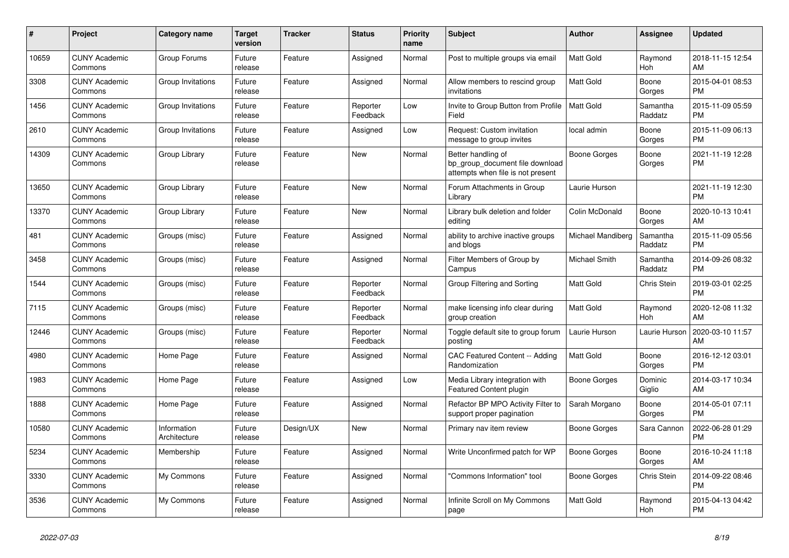| #     | <b>Project</b>                  | <b>Category name</b>        | <b>Target</b><br>version | <b>Tracker</b> | <b>Status</b>        | <b>Priority</b><br>name | <b>Subject</b>                                                                             | <b>Author</b>     | Assignee            | <b>Updated</b>                |
|-------|---------------------------------|-----------------------------|--------------------------|----------------|----------------------|-------------------------|--------------------------------------------------------------------------------------------|-------------------|---------------------|-------------------------------|
| 10659 | <b>CUNY Academic</b><br>Commons | Group Forums                | Future<br>release        | Feature        | Assigned             | Normal                  | Post to multiple groups via email                                                          | <b>Matt Gold</b>  | Raymond<br>Hoh      | 2018-11-15 12:54<br>AM        |
| 3308  | <b>CUNY Academic</b><br>Commons | Group Invitations           | Future<br>release        | Feature        | Assigned             | Normal                  | Allow members to rescind group<br>invitations                                              | <b>Matt Gold</b>  | Boone<br>Gorges     | 2015-04-01 08:53<br><b>PM</b> |
| 1456  | <b>CUNY Academic</b><br>Commons | Group Invitations           | Future<br>release        | Feature        | Reporter<br>Feedback | Low                     | Invite to Group Button from Profile<br>Field                                               | <b>Matt Gold</b>  | Samantha<br>Raddatz | 2015-11-09 05:59<br><b>PM</b> |
| 2610  | <b>CUNY Academic</b><br>Commons | Group Invitations           | Future<br>release        | Feature        | Assigned             | Low                     | Request: Custom invitation<br>message to group invites                                     | local admin       | Boone<br>Gorges     | 2015-11-09 06:13<br><b>PM</b> |
| 14309 | <b>CUNY Academic</b><br>Commons | Group Library               | Future<br>release        | Feature        | New                  | Normal                  | Better handling of<br>bp_group_document file download<br>attempts when file is not present | Boone Gorges      | Boone<br>Gorges     | 2021-11-19 12:28<br><b>PM</b> |
| 13650 | <b>CUNY Academic</b><br>Commons | Group Library               | Future<br>release        | Feature        | <b>New</b>           | Normal                  | Forum Attachments in Group<br>Library                                                      | Laurie Hurson     |                     | 2021-11-19 12:30<br><b>PM</b> |
| 13370 | <b>CUNY Academic</b><br>Commons | Group Library               | Future<br>release        | Feature        | <b>New</b>           | Normal                  | Library bulk deletion and folder<br>editing                                                | Colin McDonald    | Boone<br>Gorges     | 2020-10-13 10:41<br>AM        |
| 481   | <b>CUNY Academic</b><br>Commons | Groups (misc)               | Future<br>release        | Feature        | Assigned             | Normal                  | ability to archive inactive groups<br>and blogs                                            | Michael Mandiberg | Samantha<br>Raddatz | 2015-11-09 05:56<br><b>PM</b> |
| 3458  | <b>CUNY Academic</b><br>Commons | Groups (misc)               | Future<br>release        | Feature        | Assigned             | Normal                  | Filter Members of Group by<br>Campus                                                       | Michael Smith     | Samantha<br>Raddatz | 2014-09-26 08:32<br><b>PM</b> |
| 1544  | <b>CUNY Academic</b><br>Commons | Groups (misc)               | Future<br>release        | Feature        | Reporter<br>Feedback | Normal                  | Group Filtering and Sorting                                                                | <b>Matt Gold</b>  | Chris Stein         | 2019-03-01 02:25<br><b>PM</b> |
| 7115  | <b>CUNY Academic</b><br>Commons | Groups (misc)               | Future<br>release        | Feature        | Reporter<br>Feedback | Normal                  | make licensing info clear during<br>group creation                                         | <b>Matt Gold</b>  | Raymond<br>Hoh      | 2020-12-08 11:32<br>AM        |
| 12446 | <b>CUNY Academic</b><br>Commons | Groups (misc)               | Future<br>release        | Feature        | Reporter<br>Feedback | Normal                  | Toggle default site to group forum<br>posting                                              | Laurie Hurson     | Laurie Hurson       | 2020-03-10 11:57<br>AM        |
| 4980  | <b>CUNY Academic</b><br>Commons | Home Page                   | Future<br>release        | Feature        | Assigned             | Normal                  | CAC Featured Content -- Adding<br>Randomization                                            | <b>Matt Gold</b>  | Boone<br>Gorges     | 2016-12-12 03:01<br><b>PM</b> |
| 1983  | <b>CUNY Academic</b><br>Commons | Home Page                   | Future<br>release        | Feature        | Assigned             | Low                     | Media Library integration with<br>Featured Content plugin                                  | Boone Gorges      | Dominic<br>Giglio   | 2014-03-17 10:34<br>AM        |
| 1888  | <b>CUNY Academic</b><br>Commons | Home Page                   | Future<br>release        | Feature        | Assigned             | Normal                  | Refactor BP MPO Activity Filter to<br>support proper pagination                            | Sarah Morgano     | Boone<br>Gorges     | 2014-05-01 07:11<br><b>PM</b> |
| 10580 | <b>CUNY Academic</b><br>Commons | Information<br>Architecture | Future<br>release        | Design/UX      | New                  | Normal                  | Primary nav item review                                                                    | Boone Gorges      | Sara Cannon         | 2022-06-28 01:29<br><b>PM</b> |
| 5234  | <b>CUNY Academic</b><br>Commons | Membership                  | Future<br>release        | Feature        | Assigned             | Normal                  | Write Unconfirmed patch for WP                                                             | Boone Gorges      | Boone<br>Gorges     | 2016-10-24 11:18<br>AM        |
| 3330  | <b>CUNY Academic</b><br>Commons | My Commons                  | Future<br>release        | Feature        | Assigned             | Normal                  | "Commons Information" tool                                                                 | Boone Gorges      | Chris Stein         | 2014-09-22 08:46<br><b>PM</b> |
| 3536  | <b>CUNY Academic</b><br>Commons | My Commons                  | Future<br>release        | Feature        | Assigned             | Normal                  | Infinite Scroll on My Commons<br>page                                                      | <b>Matt Gold</b>  | Raymond<br>Hoh      | 2015-04-13 04:42<br><b>PM</b> |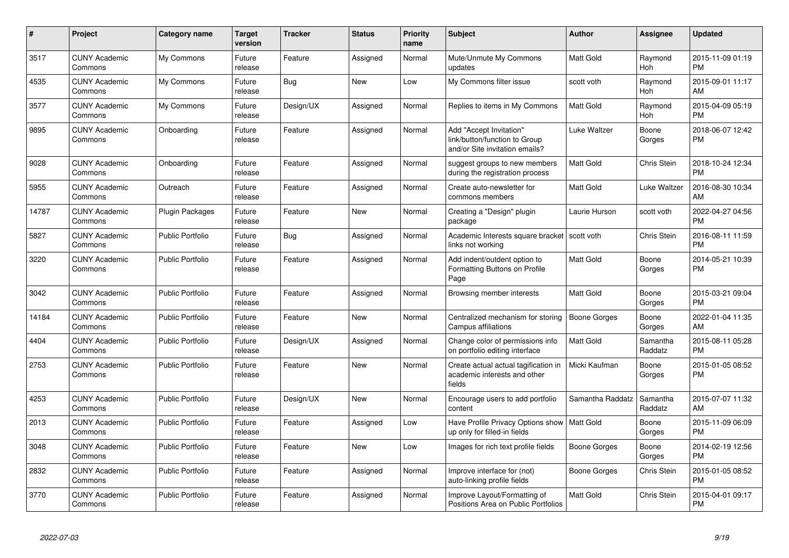| $\#$  | Project                         | Category name           | <b>Target</b><br>version | <b>Tracker</b> | <b>Status</b> | <b>Priority</b><br>name | <b>Subject</b>                                                                             | <b>Author</b>       | Assignee              | <b>Updated</b>                |
|-------|---------------------------------|-------------------------|--------------------------|----------------|---------------|-------------------------|--------------------------------------------------------------------------------------------|---------------------|-----------------------|-------------------------------|
| 3517  | <b>CUNY Academic</b><br>Commons | My Commons              | Future<br>release        | Feature        | Assigned      | Normal                  | Mute/Unmute My Commons<br>updates                                                          | Matt Gold           | Raymond<br><b>Hoh</b> | 2015-11-09 01:19<br><b>PM</b> |
| 4535  | <b>CUNY Academic</b><br>Commons | My Commons              | Future<br>release        | Bug            | <b>New</b>    | Low                     | My Commons filter issue                                                                    | scott voth          | Raymond<br>Hoh        | 2015-09-01 11:17<br>AM        |
| 3577  | <b>CUNY Academic</b><br>Commons | My Commons              | Future<br>release        | Design/UX      | Assigned      | Normal                  | Replies to items in My Commons                                                             | Matt Gold           | Raymond<br>Hoh        | 2015-04-09 05:19<br><b>PM</b> |
| 9895  | <b>CUNY Academic</b><br>Commons | Onboarding              | Future<br>release        | Feature        | Assigned      | Normal                  | Add "Accept Invitation"<br>link/button/function to Group<br>and/or Site invitation emails? | <b>Luke Waltzer</b> | Boone<br>Gorges       | 2018-06-07 12:42<br><b>PM</b> |
| 9028  | <b>CUNY Academic</b><br>Commons | Onboarding              | Future<br>release        | Feature        | Assigned      | Normal                  | suggest groups to new members<br>during the registration process                           | Matt Gold           | Chris Stein           | 2018-10-24 12:34<br>PM        |
| 5955  | <b>CUNY Academic</b><br>Commons | Outreach                | Future<br>release        | Feature        | Assigned      | Normal                  | Create auto-newsletter for<br>commons members                                              | Matt Gold           | Luke Waltzer          | 2016-08-30 10:34<br>AM        |
| 14787 | <b>CUNY Academic</b><br>Commons | <b>Plugin Packages</b>  | Future<br>release        | Feature        | New           | Normal                  | Creating a "Design" plugin<br>package                                                      | Laurie Hurson       | scott voth            | 2022-04-27 04:56<br><b>PM</b> |
| 5827  | <b>CUNY Academic</b><br>Commons | Public Portfolio        | Future<br>release        | Bug            | Assigned      | Normal                  | Academic Interests square bracket<br>links not working                                     | scott voth          | Chris Stein           | 2016-08-11 11:59<br><b>PM</b> |
| 3220  | <b>CUNY Academic</b><br>Commons | <b>Public Portfolio</b> | Future<br>release        | Feature        | Assigned      | Normal                  | Add indent/outdent option to<br>Formatting Buttons on Profile<br>Page                      | Matt Gold           | Boone<br>Gorges       | 2014-05-21 10:39<br><b>PM</b> |
| 3042  | <b>CUNY Academic</b><br>Commons | <b>Public Portfolio</b> | Future<br>release        | Feature        | Assigned      | Normal                  | Browsing member interests                                                                  | Matt Gold           | Boone<br>Gorges       | 2015-03-21 09:04<br><b>PM</b> |
| 14184 | <b>CUNY Academic</b><br>Commons | <b>Public Portfolio</b> | Future<br>release        | Feature        | <b>New</b>    | Normal                  | Centralized mechanism for storing<br>Campus affiliations                                   | <b>Boone Gorges</b> | Boone<br>Gorges       | 2022-01-04 11:35<br>AM        |
| 4404  | <b>CUNY Academic</b><br>Commons | <b>Public Portfolio</b> | Future<br>release        | Design/UX      | Assigned      | Normal                  | Change color of permissions info<br>on portfolio editing interface                         | <b>Matt Gold</b>    | Samantha<br>Raddatz   | 2015-08-11 05:28<br><b>PM</b> |
| 2753  | <b>CUNY Academic</b><br>Commons | <b>Public Portfolio</b> | Future<br>release        | Feature        | <b>New</b>    | Normal                  | Create actual actual tagification in<br>academic interests and other<br>fields             | Micki Kaufman       | Boone<br>Gorges       | 2015-01-05 08:52<br><b>PM</b> |
| 4253  | <b>CUNY Academic</b><br>Commons | <b>Public Portfolio</b> | Future<br>release        | Design/UX      | <b>New</b>    | Normal                  | Encourage users to add portfolio<br>content                                                | Samantha Raddatz    | Samantha<br>Raddatz   | 2015-07-07 11:32<br>AM        |
| 2013  | <b>CUNY Academic</b><br>Commons | <b>Public Portfolio</b> | Future<br>release        | Feature        | Assigned      | Low                     | Have Profile Privacy Options show   Matt Gold<br>up only for filled-in fields              |                     | Boone<br>Gorges       | 2015-11-09 06:09<br><b>PM</b> |
| 3048  | <b>CUNY Academic</b><br>Commons | <b>Public Portfolio</b> | Future<br>release        | Feature        | <b>New</b>    | Low                     | Images for rich text profile fields                                                        | Boone Gorges        | Boone<br>Gorges       | 2014-02-19 12:56<br><b>PM</b> |
| 2832  | <b>CUNY Academic</b><br>Commons | <b>Public Portfolio</b> | Future<br>release        | Feature        | Assigned      | Normal                  | Improve interface for (not)<br>auto-linking profile fields                                 | Boone Gorges        | Chris Stein           | 2015-01-05 08:52<br><b>PM</b> |
| 3770  | <b>CUNY Academic</b><br>Commons | Public Portfolio        | Future<br>release        | Feature        | Assigned      | Normal                  | Improve Layout/Formatting of<br>Positions Area on Public Portfolios                        | Matt Gold           | Chris Stein           | 2015-04-01 09:17<br><b>PM</b> |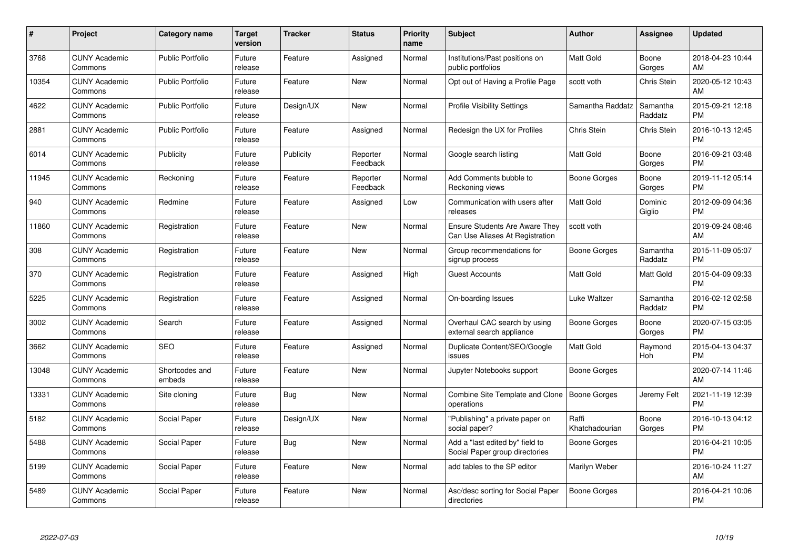| #     | Project                         | <b>Category name</b>     | <b>Target</b><br>version | <b>Tracker</b> | <b>Status</b>        | Priority<br>name | <b>Subject</b>                                                           | <b>Author</b>           | <b>Assignee</b>     | <b>Updated</b>                |
|-------|---------------------------------|--------------------------|--------------------------|----------------|----------------------|------------------|--------------------------------------------------------------------------|-------------------------|---------------------|-------------------------------|
| 3768  | <b>CUNY Academic</b><br>Commons | <b>Public Portfolio</b>  | Future<br>release        | Feature        | Assigned             | Normal           | Institutions/Past positions on<br>public portfolios                      | <b>Matt Gold</b>        | Boone<br>Gorges     | 2018-04-23 10:44<br>AM        |
| 10354 | <b>CUNY Academic</b><br>Commons | <b>Public Portfolio</b>  | Future<br>release        | Feature        | <b>New</b>           | Normal           | Opt out of Having a Profile Page                                         | scott voth              | Chris Stein         | 2020-05-12 10:43<br>AM        |
| 4622  | <b>CUNY Academic</b><br>Commons | <b>Public Portfolio</b>  | Future<br>release        | Design/UX      | <b>New</b>           | Normal           | <b>Profile Visibility Settings</b>                                       | Samantha Raddatz        | Samantha<br>Raddatz | 2015-09-21 12:18<br><b>PM</b> |
| 2881  | <b>CUNY Academic</b><br>Commons | <b>Public Portfolio</b>  | Future<br>release        | Feature        | Assigned             | Normal           | Redesign the UX for Profiles                                             | Chris Stein             | <b>Chris Stein</b>  | 2016-10-13 12:45<br><b>PM</b> |
| 6014  | <b>CUNY Academic</b><br>Commons | Publicity                | Future<br>release        | Publicity      | Reporter<br>Feedback | Normal           | Google search listing                                                    | Matt Gold               | Boone<br>Gorges     | 2016-09-21 03:48<br><b>PM</b> |
| 11945 | <b>CUNY Academic</b><br>Commons | Reckoning                | Future<br>release        | Feature        | Reporter<br>Feedback | Normal           | Add Comments bubble to<br>Reckoning views                                | <b>Boone Gorges</b>     | Boone<br>Gorges     | 2019-11-12 05:14<br><b>PM</b> |
| 940   | <b>CUNY Academic</b><br>Commons | Redmine                  | Future<br>release        | Feature        | Assigned             | Low              | Communication with users after<br>releases                               | Matt Gold               | Dominic<br>Giglio   | 2012-09-09 04:36<br><b>PM</b> |
| 11860 | <b>CUNY Academic</b><br>Commons | Registration             | Future<br>release        | Feature        | <b>New</b>           | Normal           | <b>Ensure Students Are Aware They</b><br>Can Use Aliases At Registration | scott voth              |                     | 2019-09-24 08:46<br>AM        |
| 308   | <b>CUNY Academic</b><br>Commons | Registration             | Future<br>release        | Feature        | New                  | Normal           | Group recommendations for<br>signup process                              | Boone Gorges            | Samantha<br>Raddatz | 2015-11-09 05:07<br><b>PM</b> |
| 370   | <b>CUNY Academic</b><br>Commons | Registration             | Future<br>release        | Feature        | Assigned             | High             | <b>Guest Accounts</b>                                                    | <b>Matt Gold</b>        | Matt Gold           | 2015-04-09 09:33<br><b>PM</b> |
| 5225  | <b>CUNY Academic</b><br>Commons | Registration             | Future<br>release        | Feature        | Assigned             | Normal           | On-boarding Issues                                                       | Luke Waltzer            | Samantha<br>Raddatz | 2016-02-12 02:58<br><b>PM</b> |
| 3002  | <b>CUNY Academic</b><br>Commons | Search                   | Future<br>release        | Feature        | Assigned             | Normal           | Overhaul CAC search by using<br>external search appliance                | Boone Gorges            | Boone<br>Gorges     | 2020-07-15 03:05<br><b>PM</b> |
| 3662  | <b>CUNY Academic</b><br>Commons | <b>SEO</b>               | Future<br>release        | Feature        | Assigned             | Normal           | Duplicate Content/SEO/Google<br>issues                                   | Matt Gold               | Raymond<br>Hoh      | 2015-04-13 04:37<br><b>PM</b> |
| 13048 | <b>CUNY Academic</b><br>Commons | Shortcodes and<br>embeds | Future<br>release        | Feature        | New                  | Normal           | Jupyter Notebooks support                                                | Boone Gorges            |                     | 2020-07-14 11:46<br>AM        |
| 13331 | <b>CUNY Academic</b><br>Commons | Site cloning             | Future<br>release        | Bug            | New                  | Normal           | Combine Site Template and Clone<br>operations                            | Boone Gorges            | Jeremy Felt         | 2021-11-19 12:39<br><b>PM</b> |
| 5182  | <b>CUNY Academic</b><br>Commons | Social Paper             | Future<br>release        | Design/UX      | New                  | Normal           | "Publishing" a private paper on<br>social paper?                         | Raffi<br>Khatchadourian | Boone<br>Gorges     | 2016-10-13 04:12<br><b>PM</b> |
| 5488  | <b>CUNY Academic</b><br>Commons | Social Paper             | Future<br>release        | Bug            | New                  | Normal           | Add a "last edited by" field to<br>Social Paper group directories        | Boone Gorges            |                     | 2016-04-21 10:05<br><b>PM</b> |
| 5199  | <b>CUNY Academic</b><br>Commons | Social Paper             | Future<br>release        | Feature        | New                  | Normal           | add tables to the SP editor                                              | Marilyn Weber           |                     | 2016-10-24 11:27<br>AM        |
| 5489  | <b>CUNY Academic</b><br>Commons | Social Paper             | Future<br>release        | Feature        | <b>New</b>           | Normal           | Asc/desc sorting for Social Paper<br>directories                         | Boone Gorges            |                     | 2016-04-21 10:06<br><b>PM</b> |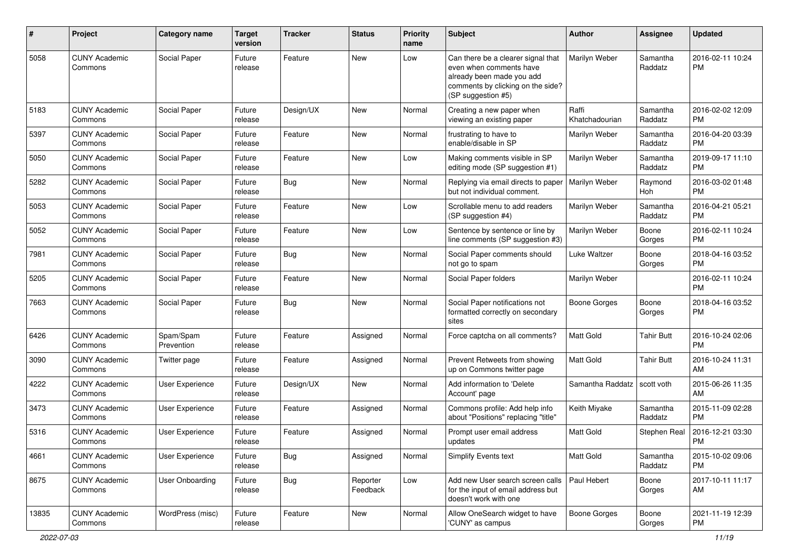| #     | Project                         | <b>Category name</b>    | <b>Target</b><br>version | <b>Tracker</b> | <b>Status</b>        | <b>Priority</b><br>name | Subject                                                                                                                                               | Author                  | Assignee            | <b>Updated</b>                |
|-------|---------------------------------|-------------------------|--------------------------|----------------|----------------------|-------------------------|-------------------------------------------------------------------------------------------------------------------------------------------------------|-------------------------|---------------------|-------------------------------|
| 5058  | <b>CUNY Academic</b><br>Commons | Social Paper            | Future<br>release        | Feature        | <b>New</b>           | Low                     | Can there be a clearer signal that<br>even when comments have<br>already been made you add<br>comments by clicking on the side?<br>(SP suggestion #5) | Marilyn Weber           | Samantha<br>Raddatz | 2016-02-11 10:24<br><b>PM</b> |
| 5183  | <b>CUNY Academic</b><br>Commons | Social Paper            | Future<br>release        | Design/UX      | New                  | Normal                  | Creating a new paper when<br>viewing an existing paper                                                                                                | Raffi<br>Khatchadourian | Samantha<br>Raddatz | 2016-02-02 12:09<br><b>PM</b> |
| 5397  | <b>CUNY Academic</b><br>Commons | Social Paper            | Future<br>release        | Feature        | <b>New</b>           | Normal                  | frustrating to have to<br>enable/disable in SP                                                                                                        | Marilyn Weber           | Samantha<br>Raddatz | 2016-04-20 03:39<br><b>PM</b> |
| 5050  | <b>CUNY Academic</b><br>Commons | Social Paper            | Future<br>release        | Feature        | <b>New</b>           | Low                     | Making comments visible in SP<br>editing mode (SP suggestion #1)                                                                                      | Marilyn Weber           | Samantha<br>Raddatz | 2019-09-17 11:10<br>PM        |
| 5282  | <b>CUNY Academic</b><br>Commons | Social Paper            | Future<br>release        | <b>Bug</b>     | New                  | Normal                  | Replying via email directs to paper<br>but not individual comment.                                                                                    | Marilyn Weber           | Raymond<br>Hoh      | 2016-03-02 01:48<br><b>PM</b> |
| 5053  | <b>CUNY Academic</b><br>Commons | Social Paper            | Future<br>release        | Feature        | <b>New</b>           | Low                     | Scrollable menu to add readers<br>(SP suggestion #4)                                                                                                  | Marilyn Weber           | Samantha<br>Raddatz | 2016-04-21 05:21<br><b>PM</b> |
| 5052  | <b>CUNY Academic</b><br>Commons | Social Paper            | Future<br>release        | Feature        | <b>New</b>           | Low                     | Sentence by sentence or line by<br>line comments (SP suggestion #3)                                                                                   | Marilyn Weber           | Boone<br>Gorges     | 2016-02-11 10:24<br><b>PM</b> |
| 7981  | <b>CUNY Academic</b><br>Commons | Social Paper            | Future<br>release        | Bug            | <b>New</b>           | Normal                  | Social Paper comments should<br>not go to spam                                                                                                        | Luke Waltzer            | Boone<br>Gorges     | 2018-04-16 03:52<br><b>PM</b> |
| 5205  | <b>CUNY Academic</b><br>Commons | Social Paper            | Future<br>release        | Feature        | New                  | Normal                  | Social Paper folders                                                                                                                                  | Marilyn Weber           |                     | 2016-02-11 10:24<br><b>PM</b> |
| 7663  | <b>CUNY Academic</b><br>Commons | Social Paper            | Future<br>release        | Bug            | New                  | Normal                  | Social Paper notifications not<br>formatted correctly on secondary<br>sites                                                                           | Boone Gorges            | Boone<br>Gorges     | 2018-04-16 03:52<br><b>PM</b> |
| 6426  | <b>CUNY Academic</b><br>Commons | Spam/Spam<br>Prevention | Future<br>release        | Feature        | Assigned             | Normal                  | Force captcha on all comments?                                                                                                                        | Matt Gold               | <b>Tahir Butt</b>   | 2016-10-24 02:06<br>PM        |
| 3090  | <b>CUNY Academic</b><br>Commons | Twitter page            | Future<br>release        | Feature        | Assigned             | Normal                  | Prevent Retweets from showing<br>up on Commons twitter page                                                                                           | Matt Gold               | <b>Tahir Butt</b>   | 2016-10-24 11:31<br>AM        |
| 4222  | <b>CUNY Academic</b><br>Commons | <b>User Experience</b>  | Future<br>release        | Design/UX      | New                  | Normal                  | Add information to 'Delete<br>Account' page                                                                                                           | Samantha Raddatz        | scott voth          | 2015-06-26 11:35<br>AM        |
| 3473  | <b>CUNY Academic</b><br>Commons | <b>User Experience</b>  | Future<br>release        | Feature        | Assigned             | Normal                  | Commons profile: Add help info<br>about "Positions" replacing "title"                                                                                 | Keith Miyake            | Samantha<br>Raddatz | 2015-11-09 02:28<br><b>PM</b> |
| 5316  | <b>CUNY Academic</b><br>Commons | <b>User Experience</b>  | Future<br>release        | Feature        | Assigned             | Normal                  | Prompt user email address<br>updates                                                                                                                  | Matt Gold               | Stephen Real        | 2016-12-21 03:30<br><b>PM</b> |
| 4661  | <b>CUNY Academic</b><br>Commons | <b>User Experience</b>  | Future<br>release        | <b>Bug</b>     | Assigned             | Normal                  | Simplify Events text                                                                                                                                  | Matt Gold               | Samantha<br>Raddatz | 2015-10-02 09:06<br>PM        |
| 8675  | <b>CUNY Academic</b><br>Commons | User Onboarding         | Future<br>release        | <b>Bug</b>     | Reporter<br>Feedback | Low                     | Add new User search screen calls<br>for the input of email address but<br>doesn't work with one                                                       | Paul Hebert             | Boone<br>Gorges     | 2017-10-11 11:17<br>AM        |
| 13835 | <b>CUNY Academic</b><br>Commons | WordPress (misc)        | Future<br>release        | Feature        | <b>New</b>           | Normal                  | Allow OneSearch widget to have<br>'CUNY' as campus                                                                                                    | Boone Gorges            | Boone<br>Gorges     | 2021-11-19 12:39<br><b>PM</b> |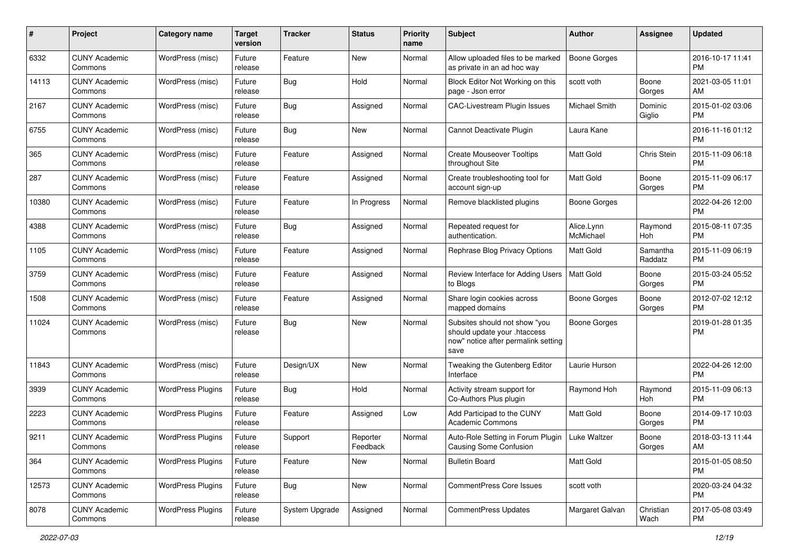| #     | Project                         | <b>Category name</b>     | <b>Target</b><br>version | <b>Tracker</b> | <b>Status</b>        | <b>Priority</b><br>name | Subject                                                                                                      | Author                  | <b>Assignee</b>     | <b>Updated</b>                |
|-------|---------------------------------|--------------------------|--------------------------|----------------|----------------------|-------------------------|--------------------------------------------------------------------------------------------------------------|-------------------------|---------------------|-------------------------------|
| 6332  | <b>CUNY Academic</b><br>Commons | WordPress (misc)         | Future<br>release        | Feature        | New                  | Normal                  | Allow uploaded files to be marked<br>as private in an ad hoc way                                             | <b>Boone Gorges</b>     |                     | 2016-10-17 11:41<br><b>PM</b> |
| 14113 | <b>CUNY Academic</b><br>Commons | WordPress (misc)         | Future<br>release        | Bug            | Hold                 | Normal                  | Block Editor Not Working on this<br>page - Json error                                                        | scott voth              | Boone<br>Gorges     | 2021-03-05 11:01<br>AM        |
| 2167  | CUNY Academic<br>Commons        | WordPress (misc)         | Future<br>release        | Bug            | Assigned             | Normal                  | CAC-Livestream Plugin Issues                                                                                 | Michael Smith           | Dominic<br>Giglio   | 2015-01-02 03:06<br><b>PM</b> |
| 6755  | <b>CUNY Academic</b><br>Commons | WordPress (misc)         | Future<br>release        | Bug            | New                  | Normal                  | Cannot Deactivate Plugin                                                                                     | Laura Kane              |                     | 2016-11-16 01:12<br><b>PM</b> |
| 365   | CUNY Academic<br>Commons        | WordPress (misc)         | Future<br>release        | Feature        | Assigned             | Normal                  | <b>Create Mouseover Tooltips</b><br>throughout Site                                                          | Matt Gold               | Chris Stein         | 2015-11-09 06:18<br><b>PM</b> |
| 287   | <b>CUNY Academic</b><br>Commons | WordPress (misc)         | Future<br>release        | Feature        | Assigned             | Normal                  | Create troubleshooting tool for<br>account sign-up                                                           | <b>Matt Gold</b>        | Boone<br>Gorges     | 2015-11-09 06:17<br><b>PM</b> |
| 10380 | <b>CUNY Academic</b><br>Commons | WordPress (misc)         | Future<br>release        | Feature        | In Progress          | Normal                  | Remove blacklisted plugins                                                                                   | Boone Gorges            |                     | 2022-04-26 12:00<br><b>PM</b> |
| 4388  | <b>CUNY Academic</b><br>Commons | WordPress (misc)         | Future<br>release        | Bug            | Assigned             | Normal                  | Repeated request for<br>authentication.                                                                      | Alice.Lynn<br>McMichael | Raymond<br>Hoh      | 2015-08-11 07:35<br>PM        |
| 1105  | <b>CUNY Academic</b><br>Commons | WordPress (misc)         | Future<br>release        | Feature        | Assigned             | Normal                  | Rephrase Blog Privacy Options                                                                                | <b>Matt Gold</b>        | Samantha<br>Raddatz | 2015-11-09 06:19<br><b>PM</b> |
| 3759  | CUNY Academic<br>Commons        | WordPress (misc)         | Future<br>release        | Feature        | Assigned             | Normal                  | Review Interface for Adding Users<br>to Blogs                                                                | <b>Matt Gold</b>        | Boone<br>Gorges     | 2015-03-24 05:52<br>PM        |
| 1508  | <b>CUNY Academic</b><br>Commons | WordPress (misc)         | Future<br>release        | Feature        | Assigned             | Normal                  | Share login cookies across<br>mapped domains                                                                 | Boone Gorges            | Boone<br>Gorges     | 2012-07-02 12:12<br>PM.       |
| 11024 | <b>CUNY Academic</b><br>Commons | WordPress (misc)         | Future<br>release        | Bug            | New                  | Normal                  | Subsites should not show "you<br>should update your .htaccess<br>now" notice after permalink setting<br>save | Boone Gorges            |                     | 2019-01-28 01:35<br><b>PM</b> |
| 11843 | <b>CUNY Academic</b><br>Commons | WordPress (misc)         | Future<br>release        | Design/UX      | New                  | Normal                  | Tweaking the Gutenberg Editor<br>Interface                                                                   | Laurie Hurson           |                     | 2022-04-26 12:00<br><b>PM</b> |
| 3939  | <b>CUNY Academic</b><br>Commons | <b>WordPress Plugins</b> | Future<br>release        | Bug            | Hold                 | Normal                  | Activity stream support for<br>Co-Authors Plus plugin                                                        | Raymond Hoh             | Raymond<br>Hoh      | 2015-11-09 06:13<br><b>PM</b> |
| 2223  | <b>CUNY Academic</b><br>Commons | <b>WordPress Plugins</b> | Future<br>release        | Feature        | Assigned             | Low                     | Add Participad to the CUNY<br>Academic Commons                                                               | Matt Gold               | Boone<br>Gorges     | 2014-09-17 10:03<br><b>PM</b> |
| 9211  | <b>CUNY Academic</b><br>Commons | <b>WordPress Plugins</b> | Future<br>release        | Support        | Reporter<br>Feedback | Normal                  | Auto-Role Setting in Forum Plugin<br>Causing Some Confusion                                                  | <b>Luke Waltzer</b>     | Boone<br>Gorges     | 2018-03-13 11:44<br>AM        |
| 364   | <b>CUNY Academic</b><br>Commons | <b>WordPress Plugins</b> | Future<br>release        | Feature        | New                  | Normal                  | <b>Bulletin Board</b>                                                                                        | Matt Gold               |                     | 2015-01-05 08:50<br>PM        |
| 12573 | <b>CUNY Academic</b><br>Commons | <b>WordPress Plugins</b> | Future<br>release        | <b>Bug</b>     | New                  | Normal                  | <b>CommentPress Core Issues</b>                                                                              | scott voth              |                     | 2020-03-24 04:32<br>PM        |
| 8078  | <b>CUNY Academic</b><br>Commons | <b>WordPress Plugins</b> | Future<br>release        | System Upgrade | Assigned             | Normal                  | CommentPress Updates                                                                                         | Margaret Galvan         | Christian<br>Wach   | 2017-05-08 03:49<br>PM        |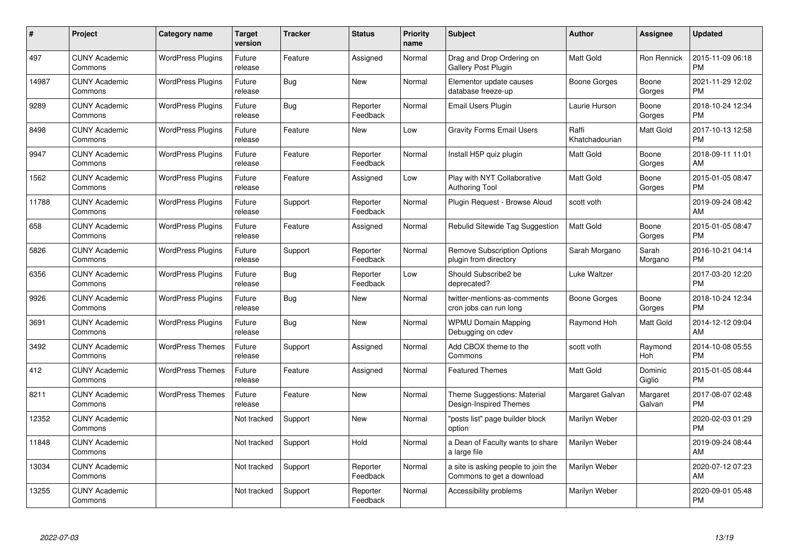| $\#$  | Project                         | <b>Category name</b>     | <b>Target</b><br>version | <b>Tracker</b> | <b>Status</b>        | Priority<br>name | <b>Subject</b>                                                   | <b>Author</b>           | <b>Assignee</b>    | <b>Updated</b>                |
|-------|---------------------------------|--------------------------|--------------------------|----------------|----------------------|------------------|------------------------------------------------------------------|-------------------------|--------------------|-------------------------------|
| 497   | <b>CUNY Academic</b><br>Commons | <b>WordPress Plugins</b> | Future<br>release        | Feature        | Assigned             | Normal           | Drag and Drop Ordering on<br>Gallery Post Plugin                 | <b>Matt Gold</b>        | Ron Rennick        | 2015-11-09 06:18<br><b>PM</b> |
| 14987 | <b>CUNY Academic</b><br>Commons | <b>WordPress Plugins</b> | Future<br>release        | Bug            | <b>New</b>           | Normal           | Elementor update causes<br>database freeze-up                    | Boone Gorges            | Boone<br>Gorges    | 2021-11-29 12:02<br><b>PM</b> |
| 9289  | <b>CUNY Academic</b><br>Commons | <b>WordPress Plugins</b> | Future<br>release        | Bug            | Reporter<br>Feedback | Normal           | Email Users Plugin                                               | Laurie Hurson           | Boone<br>Gorges    | 2018-10-24 12:34<br><b>PM</b> |
| 8498  | <b>CUNY Academic</b><br>Commons | <b>WordPress Plugins</b> | Future<br>release        | Feature        | <b>New</b>           | Low              | <b>Gravity Forms Email Users</b>                                 | Raffi<br>Khatchadourian | Matt Gold          | 2017-10-13 12:58<br><b>PM</b> |
| 9947  | <b>CUNY Academic</b><br>Commons | <b>WordPress Plugins</b> | Future<br>release        | Feature        | Reporter<br>Feedback | Normal           | Install H5P quiz plugin                                          | <b>Matt Gold</b>        | Boone<br>Gorges    | 2018-09-11 11:01<br>AM        |
| 1562  | <b>CUNY Academic</b><br>Commons | <b>WordPress Plugins</b> | Future<br>release        | Feature        | Assigned             | Low              | Play with NYT Collaborative<br>Authoring Tool                    | <b>Matt Gold</b>        | Boone<br>Gorges    | 2015-01-05 08:47<br><b>PM</b> |
| 11788 | <b>CUNY Academic</b><br>Commons | <b>WordPress Plugins</b> | Future<br>release        | Support        | Reporter<br>Feedback | Normal           | Plugin Request - Browse Aloud                                    | scott voth              |                    | 2019-09-24 08:42<br>AM        |
| 658   | <b>CUNY Academic</b><br>Commons | <b>WordPress Plugins</b> | Future<br>release        | Feature        | Assigned             | Normal           | Rebulid Sitewide Tag Suggestion                                  | <b>Matt Gold</b>        | Boone<br>Gorges    | 2015-01-05 08:47<br><b>PM</b> |
| 5826  | <b>CUNY Academic</b><br>Commons | <b>WordPress Plugins</b> | Future<br>release        | Support        | Reporter<br>Feedback | Normal           | <b>Remove Subscription Options</b><br>plugin from directory      | Sarah Morgano           | Sarah<br>Morgano   | 2016-10-21 04:14<br><b>PM</b> |
| 6356  | <b>CUNY Academic</b><br>Commons | <b>WordPress Plugins</b> | Future<br>release        | <b>Bug</b>     | Reporter<br>Feedback | Low              | Should Subscribe2 be<br>deprecated?                              | Luke Waltzer            |                    | 2017-03-20 12:20<br><b>PM</b> |
| 9926  | <b>CUNY Academic</b><br>Commons | <b>WordPress Plugins</b> | Future<br>release        | <b>Bug</b>     | <b>New</b>           | Normal           | twitter-mentions-as-comments<br>cron jobs can run long           | Boone Gorges            | Boone<br>Gorges    | 2018-10-24 12:34<br><b>PM</b> |
| 3691  | <b>CUNY Academic</b><br>Commons | <b>WordPress Plugins</b> | Future<br>release        | Bug            | <b>New</b>           | Normal           | <b>WPMU Domain Mapping</b><br>Debugging on cdev                  | Raymond Hoh             | Matt Gold          | 2014-12-12 09:04<br>AM        |
| 3492  | <b>CUNY Academic</b><br>Commons | <b>WordPress Themes</b>  | Future<br>release        | Support        | Assigned             | Normal           | Add CBOX theme to the<br>Commons                                 | scott voth              | Raymond<br>Hoh     | 2014-10-08 05:55<br><b>PM</b> |
| 412   | <b>CUNY Academic</b><br>Commons | <b>WordPress Themes</b>  | Future<br>release        | Feature        | Assigned             | Normal           | <b>Featured Themes</b>                                           | Matt Gold               | Dominic<br>Giglio  | 2015-01-05 08:44<br><b>PM</b> |
| 8211  | <b>CUNY Academic</b><br>Commons | <b>WordPress Themes</b>  | Future<br>release        | Feature        | New                  | Normal           | Theme Suggestions: Material<br>Design-Inspired Themes            | Margaret Galvan         | Margaret<br>Galvan | 2017-08-07 02:48<br><b>PM</b> |
| 12352 | <b>CUNY Academic</b><br>Commons |                          | Not tracked              | Support        | New                  | Normal           | "posts list" page builder block<br>option                        | Marilyn Weber           |                    | 2020-02-03 01:29<br><b>PM</b> |
| 11848 | <b>CUNY Academic</b><br>Commons |                          | Not tracked              | Support        | Hold                 | Normal           | a Dean of Faculty wants to share<br>a large file                 | Marilyn Weber           |                    | 2019-09-24 08:44<br>AM        |
| 13034 | <b>CUNY Academic</b><br>Commons |                          | Not tracked              | Support        | Reporter<br>Feedback | Normal           | a site is asking people to join the<br>Commons to get a download | Marilyn Weber           |                    | 2020-07-12 07:23<br>AM        |
| 13255 | <b>CUNY Academic</b><br>Commons |                          | Not tracked              | Support        | Reporter<br>Feedback | Normal           | Accessibility problems                                           | Marilyn Weber           |                    | 2020-09-01 05:48<br><b>PM</b> |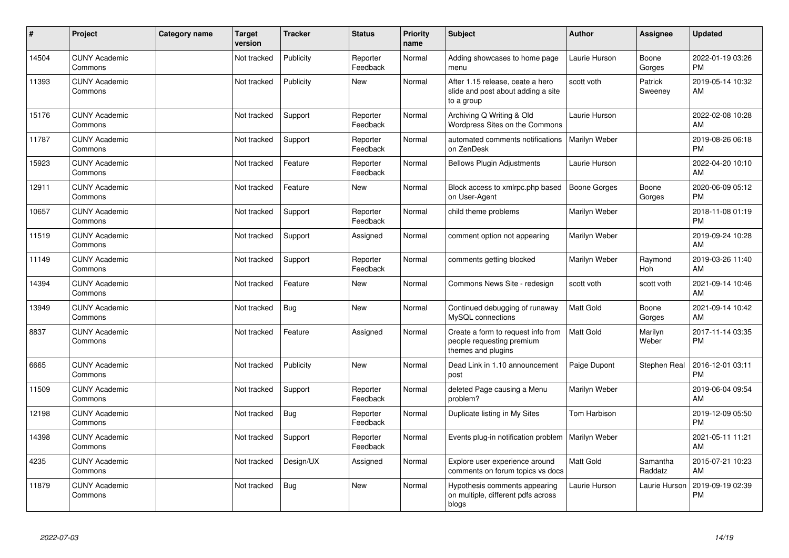| #     | Project                         | Category name | Target<br>version | <b>Tracker</b> | <b>Status</b>        | <b>Priority</b><br>name | <b>Subject</b>                                                                        | <b>Author</b>       | <b>Assignee</b>     | <b>Updated</b>                |
|-------|---------------------------------|---------------|-------------------|----------------|----------------------|-------------------------|---------------------------------------------------------------------------------------|---------------------|---------------------|-------------------------------|
| 14504 | <b>CUNY Academic</b><br>Commons |               | Not tracked       | Publicity      | Reporter<br>Feedback | Normal                  | Adding showcases to home page<br>menu                                                 | Laurie Hurson       | Boone<br>Gorges     | 2022-01-19 03:26<br><b>PM</b> |
| 11393 | <b>CUNY Academic</b><br>Commons |               | Not tracked       | Publicity      | <b>New</b>           | Normal                  | After 1.15 release, ceate a hero<br>slide and post about adding a site<br>to a group  | scott voth          | Patrick<br>Sweeney  | 2019-05-14 10:32<br>AM        |
| 15176 | <b>CUNY Academic</b><br>Commons |               | Not tracked       | Support        | Reporter<br>Feedback | Normal                  | Archiving Q Writing & Old<br>Wordpress Sites on the Commons                           | Laurie Hurson       |                     | 2022-02-08 10:28<br>AM        |
| 11787 | <b>CUNY Academic</b><br>Commons |               | Not tracked       | Support        | Reporter<br>Feedback | Normal                  | automated comments notifications<br>on ZenDesk                                        | Marilyn Weber       |                     | 2019-08-26 06:18<br><b>PM</b> |
| 15923 | <b>CUNY Academic</b><br>Commons |               | Not tracked       | Feature        | Reporter<br>Feedback | Normal                  | <b>Bellows Plugin Adjustments</b>                                                     | Laurie Hurson       |                     | 2022-04-20 10:10<br>AM        |
| 12911 | <b>CUNY Academic</b><br>Commons |               | Not tracked       | Feature        | New                  | Normal                  | Block access to xmlrpc.php based<br>on User-Agent                                     | <b>Boone Gorges</b> | Boone<br>Gorges     | 2020-06-09 05:12<br><b>PM</b> |
| 10657 | <b>CUNY Academic</b><br>Commons |               | Not tracked       | Support        | Reporter<br>Feedback | Normal                  | child theme problems                                                                  | Marilyn Weber       |                     | 2018-11-08 01:19<br><b>PM</b> |
| 11519 | <b>CUNY Academic</b><br>Commons |               | Not tracked       | Support        | Assigned             | Normal                  | comment option not appearing                                                          | Marilyn Weber       |                     | 2019-09-24 10:28<br>AM        |
| 11149 | <b>CUNY Academic</b><br>Commons |               | Not tracked       | Support        | Reporter<br>Feedback | Normal                  | comments getting blocked                                                              | Marilyn Weber       | Raymond<br>Hoh      | 2019-03-26 11:40<br>AM        |
| 14394 | <b>CUNY Academic</b><br>Commons |               | Not tracked       | Feature        | New                  | Normal                  | Commons News Site - redesign                                                          | scott voth          | scott voth          | 2021-09-14 10:46<br>AM        |
| 13949 | <b>CUNY Academic</b><br>Commons |               | Not tracked       | Bug            | <b>New</b>           | Normal                  | Continued debugging of runaway<br>MySQL connections                                   | <b>Matt Gold</b>    | Boone<br>Gorges     | 2021-09-14 10:42<br>AM        |
| 8837  | <b>CUNY Academic</b><br>Commons |               | Not tracked       | Feature        | Assigned             | Normal                  | Create a form to request info from<br>people requesting premium<br>themes and plugins | <b>Matt Gold</b>    | Marilyn<br>Weber    | 2017-11-14 03:35<br><b>PM</b> |
| 6665  | <b>CUNY Academic</b><br>Commons |               | Not tracked       | Publicity      | <b>New</b>           | Normal                  | Dead Link in 1.10 announcement<br>post                                                | Paige Dupont        | Stephen Real        | 2016-12-01 03:11<br><b>PM</b> |
| 11509 | <b>CUNY Academic</b><br>Commons |               | Not tracked       | Support        | Reporter<br>Feedback | Normal                  | deleted Page causing a Menu<br>problem?                                               | Marilyn Weber       |                     | 2019-06-04 09:54<br>AM        |
| 12198 | <b>CUNY Academic</b><br>Commons |               | Not tracked       | <b>Bug</b>     | Reporter<br>Feedback | Normal                  | Duplicate listing in My Sites                                                         | Tom Harbison        |                     | 2019-12-09 05:50<br><b>PM</b> |
| 14398 | <b>CUNY Academic</b><br>Commons |               | Not tracked       | Support        | Reporter<br>Feedback | Normal                  | Events plug-in notification problem                                                   | Marilyn Weber       |                     | 2021-05-11 11:21<br>AM        |
| 4235  | <b>CUNY Academic</b><br>Commons |               | Not tracked       | Design/UX      | Assigned             | Normal                  | Explore user experience around<br>comments on forum topics vs docs                    | <b>Matt Gold</b>    | Samantha<br>Raddatz | 2015-07-21 10:23<br>AM        |
| 11879 | <b>CUNY Academic</b><br>Commons |               | Not tracked       | Bug            | <b>New</b>           | Normal                  | Hypothesis comments appearing<br>on multiple, different pdfs across<br>blogs          | Laurie Hurson       | Laurie Hurson       | 2019-09-19 02:39<br><b>PM</b> |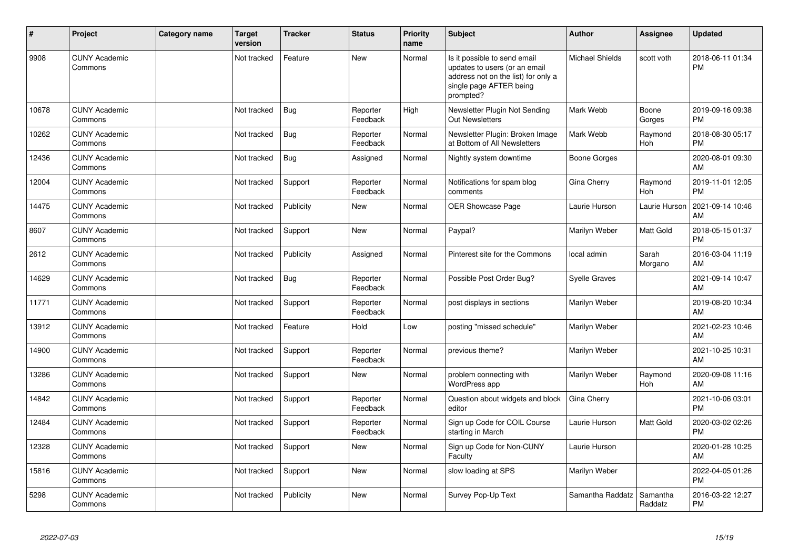| #     | <b>Project</b>                  | Category name | <b>Target</b><br>version | <b>Tracker</b> | <b>Status</b>        | <b>Priority</b><br>name | <b>Subject</b>                                                                                                                               | Author                 | <b>Assignee</b>       | <b>Updated</b>                |
|-------|---------------------------------|---------------|--------------------------|----------------|----------------------|-------------------------|----------------------------------------------------------------------------------------------------------------------------------------------|------------------------|-----------------------|-------------------------------|
| 9908  | <b>CUNY Academic</b><br>Commons |               | Not tracked              | Feature        | <b>New</b>           | Normal                  | Is it possible to send email<br>updates to users (or an email<br>address not on the list) for only a<br>single page AFTER being<br>prompted? | <b>Michael Shields</b> | scott voth            | 2018-06-11 01:34<br><b>PM</b> |
| 10678 | <b>CUNY Academic</b><br>Commons |               | Not tracked              | Bug            | Reporter<br>Feedback | High                    | Newsletter Plugin Not Sending<br>Out Newsletters                                                                                             | Mark Webb              | Boone<br>Gorges       | 2019-09-16 09:38<br><b>PM</b> |
| 10262 | <b>CUNY Academic</b><br>Commons |               | Not tracked              | Bug            | Reporter<br>Feedback | Normal                  | Newsletter Plugin: Broken Image<br>at Bottom of All Newsletters                                                                              | Mark Webb              | Raymond<br><b>Hoh</b> | 2018-08-30 05:17<br><b>PM</b> |
| 12436 | <b>CUNY Academic</b><br>Commons |               | Not tracked              | Bug            | Assigned             | Normal                  | Nightly system downtime                                                                                                                      | Boone Gorges           |                       | 2020-08-01 09:30<br>AM        |
| 12004 | <b>CUNY Academic</b><br>Commons |               | Not tracked              | Support        | Reporter<br>Feedback | Normal                  | Notifications for spam blog<br>comments                                                                                                      | Gina Cherry            | Raymond<br>Hoh        | 2019-11-01 12:05<br><b>PM</b> |
| 14475 | <b>CUNY Academic</b><br>Commons |               | Not tracked              | Publicity      | <b>New</b>           | Normal                  | <b>OER Showcase Page</b>                                                                                                                     | Laurie Hurson          | Laurie Hurson         | 2021-09-14 10:46<br>AM        |
| 8607  | <b>CUNY Academic</b><br>Commons |               | Not tracked              | Support        | New                  | Normal                  | Paypal?                                                                                                                                      | Marilyn Weber          | Matt Gold             | 2018-05-15 01:37<br><b>PM</b> |
| 2612  | <b>CUNY Academic</b><br>Commons |               | Not tracked              | Publicity      | Assigned             | Normal                  | Pinterest site for the Commons                                                                                                               | local admin            | Sarah<br>Morgano      | 2016-03-04 11:19<br>AM        |
| 14629 | <b>CUNY Academic</b><br>Commons |               | Not tracked              | Bug            | Reporter<br>Feedback | Normal                  | Possible Post Order Bug?                                                                                                                     | <b>Syelle Graves</b>   |                       | 2021-09-14 10:47<br>AM        |
| 11771 | <b>CUNY Academic</b><br>Commons |               | Not tracked              | Support        | Reporter<br>Feedback | Normal                  | post displays in sections                                                                                                                    | Marilyn Weber          |                       | 2019-08-20 10:34<br>AM        |
| 13912 | <b>CUNY Academic</b><br>Commons |               | Not tracked              | Feature        | Hold                 | Low                     | posting "missed schedule"                                                                                                                    | Marilyn Weber          |                       | 2021-02-23 10:46<br>AM        |
| 14900 | <b>CUNY Academic</b><br>Commons |               | Not tracked              | Support        | Reporter<br>Feedback | Normal                  | previous theme?                                                                                                                              | Marilyn Weber          |                       | 2021-10-25 10:31<br>AM        |
| 13286 | <b>CUNY Academic</b><br>Commons |               | Not tracked              | Support        | <b>New</b>           | Normal                  | problem connecting with<br>WordPress app                                                                                                     | Marilyn Weber          | Raymond<br><b>Hoh</b> | 2020-09-08 11:16<br>AM        |
| 14842 | <b>CUNY Academic</b><br>Commons |               | Not tracked              | Support        | Reporter<br>Feedback | Normal                  | Question about widgets and block<br>editor                                                                                                   | Gina Cherry            |                       | 2021-10-06 03:01<br><b>PM</b> |
| 12484 | <b>CUNY Academic</b><br>Commons |               | Not tracked              | Support        | Reporter<br>Feedback | Normal                  | Sign up Code for COIL Course<br>starting in March                                                                                            | Laurie Hurson          | <b>Matt Gold</b>      | 2020-03-02 02:26<br><b>PM</b> |
| 12328 | <b>CUNY Academic</b><br>Commons |               | Not tracked              | Support        | New                  | Normal                  | Sign up Code for Non-CUNY<br>Faculty                                                                                                         | Laurie Hurson          |                       | 2020-01-28 10:25<br>AM        |
| 15816 | <b>CUNY Academic</b><br>Commons |               | Not tracked              | Support        | <b>New</b>           | Normal                  | slow loading at SPS                                                                                                                          | Marilyn Weber          |                       | 2022-04-05 01:26<br><b>PM</b> |
| 5298  | <b>CUNY Academic</b><br>Commons |               | Not tracked              | Publicity      | <b>New</b>           | Normal                  | Survey Pop-Up Text                                                                                                                           | Samantha Raddatz       | Samantha<br>Raddatz   | 2016-03-22 12:27<br><b>PM</b> |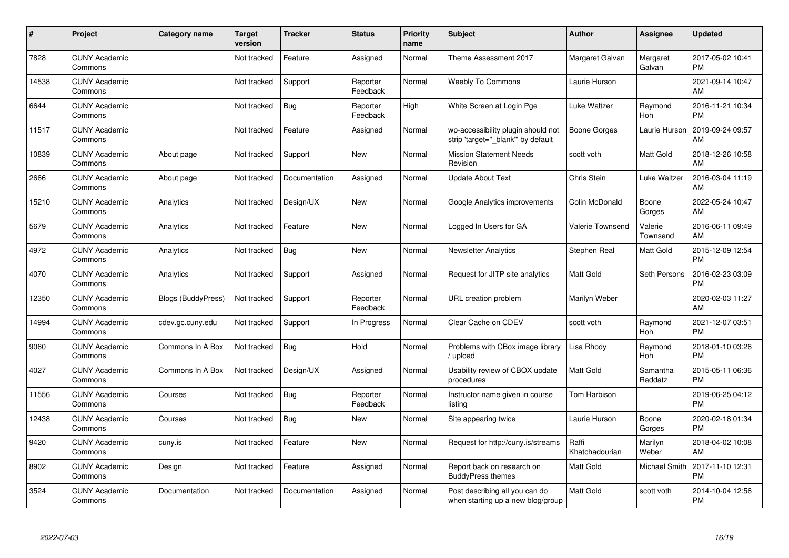| #     | Project                         | <b>Category name</b>      | <b>Target</b><br>version | <b>Tracker</b> | <b>Status</b>        | <b>Priority</b><br>name | <b>Subject</b>                                                          | <b>Author</b>           | <b>Assignee</b>     | <b>Updated</b>                |
|-------|---------------------------------|---------------------------|--------------------------|----------------|----------------------|-------------------------|-------------------------------------------------------------------------|-------------------------|---------------------|-------------------------------|
| 7828  | <b>CUNY Academic</b><br>Commons |                           | Not tracked              | Feature        | Assigned             | Normal                  | Theme Assessment 2017                                                   | Margaret Galvan         | Margaret<br>Galvan  | 2017-05-02 10:41<br><b>PM</b> |
| 14538 | <b>CUNY Academic</b><br>Commons |                           | Not tracked              | Support        | Reporter<br>Feedback | Normal                  | <b>Weebly To Commons</b>                                                | Laurie Hurson           |                     | 2021-09-14 10:47<br>AM        |
| 6644  | <b>CUNY Academic</b><br>Commons |                           | Not tracked              | <b>Bug</b>     | Reporter<br>Feedback | High                    | White Screen at Login Pge                                               | Luke Waltzer            | Raymond<br>Hoh      | 2016-11-21 10:34<br><b>PM</b> |
| 11517 | <b>CUNY Academic</b><br>Commons |                           | Not tracked              | Feature        | Assigned             | Normal                  | wp-accessibility plugin should not<br>strip 'target=" blank" by default | Boone Gorges            | Laurie Hurson       | 2019-09-24 09:57<br>AM        |
| 10839 | <b>CUNY Academic</b><br>Commons | About page                | Not tracked              | Support        | New                  | Normal                  | <b>Mission Statement Needs</b><br>Revision                              | scott voth              | Matt Gold           | 2018-12-26 10:58<br>AM        |
| 2666  | <b>CUNY Academic</b><br>Commons | About page                | Not tracked              | Documentation  | Assigned             | Normal                  | <b>Update About Text</b>                                                | Chris Stein             | Luke Waltzer        | 2016-03-04 11:19<br>AM        |
| 15210 | <b>CUNY Academic</b><br>Commons | Analytics                 | Not tracked              | Design/UX      | <b>New</b>           | Normal                  | Google Analytics improvements                                           | Colin McDonald          | Boone<br>Gorges     | 2022-05-24 10:47<br>AM        |
| 5679  | <b>CUNY Academic</b><br>Commons | Analytics                 | Not tracked              | Feature        | <b>New</b>           | Normal                  | Logged In Users for GA                                                  | <b>Valerie Townsend</b> | Valerie<br>Townsend | 2016-06-11 09:49<br>AM        |
| 4972  | <b>CUNY Academic</b><br>Commons | Analytics                 | Not tracked              | Bug            | New                  | Normal                  | <b>Newsletter Analytics</b>                                             | Stephen Real            | Matt Gold           | 2015-12-09 12:54<br><b>PM</b> |
| 4070  | <b>CUNY Academic</b><br>Commons | Analytics                 | Not tracked              | Support        | Assigned             | Normal                  | Request for JITP site analytics                                         | <b>Matt Gold</b>        | Seth Persons        | 2016-02-23 03:09<br><b>PM</b> |
| 12350 | <b>CUNY Academic</b><br>Commons | <b>Blogs (BuddyPress)</b> | Not tracked              | Support        | Reporter<br>Feedback | Normal                  | URL creation problem                                                    | Marilyn Weber           |                     | 2020-02-03 11:27<br>AM        |
| 14994 | <b>CUNY Academic</b><br>Commons | cdev.gc.cuny.edu          | Not tracked              | Support        | In Progress          | Normal                  | Clear Cache on CDEV                                                     | scott voth              | Raymond<br>Hoh      | 2021-12-07 03:51<br><b>PM</b> |
| 9060  | <b>CUNY Academic</b><br>Commons | Commons In A Box          | Not tracked              | <b>Bug</b>     | Hold                 | Normal                  | Problems with CBox image library<br>upload                              | Lisa Rhody              | Raymond<br>Hoh      | 2018-01-10 03:26<br><b>PM</b> |
| 4027  | <b>CUNY Academic</b><br>Commons | Commons In A Box          | Not tracked              | Design/UX      | Assigned             | Normal                  | Usability review of CBOX update<br>procedures                           | <b>Matt Gold</b>        | Samantha<br>Raddatz | 2015-05-11 06:36<br><b>PM</b> |
| 11556 | <b>CUNY Academic</b><br>Commons | Courses                   | Not tracked              | Bug            | Reporter<br>Feedback | Normal                  | Instructor name given in course<br>listing                              | Tom Harbison            |                     | 2019-06-25 04:12<br><b>PM</b> |
| 12438 | <b>CUNY Academic</b><br>Commons | Courses                   | Not tracked              | Bug            | New                  | Normal                  | Site appearing twice                                                    | Laurie Hurson           | Boone<br>Gorges     | 2020-02-18 01:34<br><b>PM</b> |
| 9420  | <b>CUNY Academic</b><br>Commons | cuny.is                   | Not tracked              | Feature        | New                  | Normal                  | Request for http://cuny.is/streams                                      | Raffi<br>Khatchadourian | Marilyn<br>Weber    | 2018-04-02 10:08<br>AM        |
| 8902  | <b>CUNY Academic</b><br>Commons | Design                    | Not tracked              | Feature        | Assigned             | Normal                  | Report back on research on<br><b>BuddyPress themes</b>                  | Matt Gold               | Michael Smith       | 2017-11-10 12:31<br><b>PM</b> |
| 3524  | <b>CUNY Academic</b><br>Commons | Documentation             | Not tracked              | Documentation  | Assigned             | Normal                  | Post describing all you can do<br>when starting up a new blog/group     | <b>Matt Gold</b>        | scott voth          | 2014-10-04 12:56<br><b>PM</b> |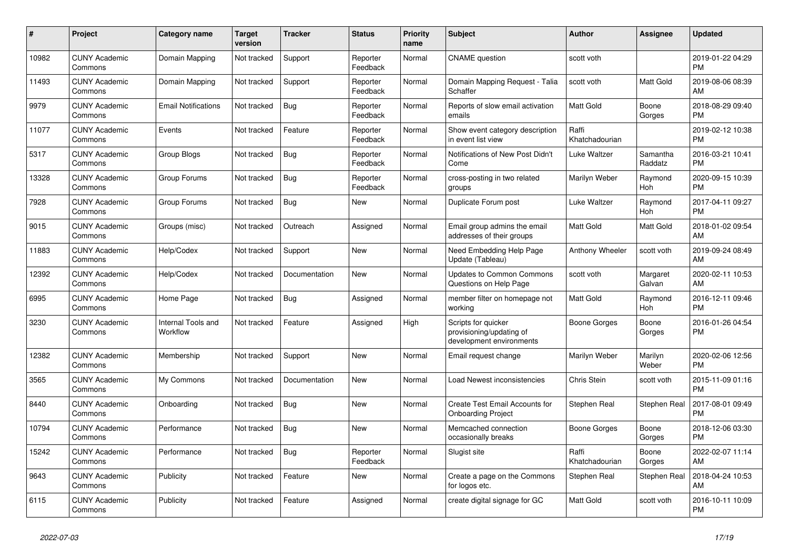| #     | Project                         | <b>Category name</b>           | <b>Target</b><br>version | <b>Tracker</b> | <b>Status</b>        | Priority<br>name | <b>Subject</b>                                                              | <b>Author</b>           | <b>Assignee</b>     | <b>Updated</b>                |
|-------|---------------------------------|--------------------------------|--------------------------|----------------|----------------------|------------------|-----------------------------------------------------------------------------|-------------------------|---------------------|-------------------------------|
| 10982 | <b>CUNY Academic</b><br>Commons | Domain Mapping                 | Not tracked              | Support        | Reporter<br>Feedback | Normal           | <b>CNAME</b> question                                                       | scott voth              |                     | 2019-01-22 04:29<br><b>PM</b> |
| 11493 | <b>CUNY Academic</b><br>Commons | Domain Mapping                 | Not tracked              | Support        | Reporter<br>Feedback | Normal           | Domain Mapping Request - Talia<br>Schaffer                                  | scott voth              | Matt Gold           | 2019-08-06 08:39<br>AM        |
| 9979  | <b>CUNY Academic</b><br>Commons | <b>Email Notifications</b>     | Not tracked              | Bug            | Reporter<br>Feedback | Normal           | Reports of slow email activation<br>emails                                  | <b>Matt Gold</b>        | Boone<br>Gorges     | 2018-08-29 09:40<br><b>PM</b> |
| 11077 | <b>CUNY Academic</b><br>Commons | Events                         | Not tracked              | Feature        | Reporter<br>Feedback | Normal           | Show event category description<br>in event list view                       | Raffi<br>Khatchadourian |                     | 2019-02-12 10:38<br><b>PM</b> |
| 5317  | <b>CUNY Academic</b><br>Commons | <b>Group Blogs</b>             | Not tracked              | <b>Bug</b>     | Reporter<br>Feedback | Normal           | Notifications of New Post Didn't<br>Come                                    | Luke Waltzer            | Samantha<br>Raddatz | 2016-03-21 10:41<br><b>PM</b> |
| 13328 | <b>CUNY Academic</b><br>Commons | Group Forums                   | Not tracked              | Bug            | Reporter<br>Feedback | Normal           | cross-posting in two related<br>groups                                      | Marilyn Weber           | Raymond<br>Hoh      | 2020-09-15 10:39<br><b>PM</b> |
| 7928  | <b>CUNY Academic</b><br>Commons | Group Forums                   | Not tracked              | Bug            | New                  | Normal           | Duplicate Forum post                                                        | Luke Waltzer            | Raymond<br>Hoh      | 2017-04-11 09:27<br><b>PM</b> |
| 9015  | <b>CUNY Academic</b><br>Commons | Groups (misc)                  | Not tracked              | Outreach       | Assigned             | Normal           | Email group admins the email<br>addresses of their groups                   | Matt Gold               | Matt Gold           | 2018-01-02 09:54<br>AM        |
| 11883 | <b>CUNY Academic</b><br>Commons | Help/Codex                     | Not tracked              | Support        | New                  | Normal           | Need Embedding Help Page<br>Update (Tableau)                                | Anthony Wheeler         | scott voth          | 2019-09-24 08:49<br>AM        |
| 12392 | <b>CUNY Academic</b><br>Commons | Help/Codex                     | Not tracked              | Documentation  | <b>New</b>           | Normal           | <b>Updates to Common Commons</b><br>Questions on Help Page                  | scott voth              | Margaret<br>Galvan  | 2020-02-11 10:53<br>AM        |
| 6995  | <b>CUNY Academic</b><br>Commons | Home Page                      | Not tracked              | <b>Bug</b>     | Assigned             | Normal           | member filter on homepage not<br>working                                    | Matt Gold               | Raymond<br>Hoh      | 2016-12-11 09:46<br><b>PM</b> |
| 3230  | <b>CUNY Academic</b><br>Commons | Internal Tools and<br>Workflow | Not tracked              | Feature        | Assigned             | High             | Scripts for quicker<br>provisioning/updating of<br>development environments | Boone Gorges            | Boone<br>Gorges     | 2016-01-26 04:54<br><b>PM</b> |
| 12382 | <b>CUNY Academic</b><br>Commons | Membership                     | Not tracked              | Support        | New                  | Normal           | Email request change                                                        | Marilyn Weber           | Marilyn<br>Weber    | 2020-02-06 12:56<br><b>PM</b> |
| 3565  | <b>CUNY Academic</b><br>Commons | My Commons                     | Not tracked              | Documentation  | <b>New</b>           | Normal           | Load Newest inconsistencies                                                 | Chris Stein             | scott voth          | 2015-11-09 01:16<br><b>PM</b> |
| 8440  | <b>CUNY Academic</b><br>Commons | Onboarding                     | Not tracked              | Bug            | <b>New</b>           | Normal           | Create Test Email Accounts for<br><b>Onboarding Project</b>                 | Stephen Real            | Stephen Real        | 2017-08-01 09:49<br><b>PM</b> |
| 10794 | <b>CUNY Academic</b><br>Commons | Performance                    | Not tracked              | Bug            | New                  | Normal           | Memcached connection<br>occasionally breaks                                 | Boone Gorges            | Boone<br>Gorges     | 2018-12-06 03:30<br><b>PM</b> |
| 15242 | <b>CUNY Academic</b><br>Commons | Performance                    | Not tracked              | <b>Bug</b>     | Reporter<br>Feedback | Normal           | Slugist site                                                                | Raffi<br>Khatchadourian | Boone<br>Gorges     | 2022-02-07 11:14<br>AM        |
| 9643  | <b>CUNY Academic</b><br>Commons | Publicity                      | Not tracked              | Feature        | New                  | Normal           | Create a page on the Commons<br>for logos etc.                              | Stephen Real            | Stephen Real        | 2018-04-24 10:53<br>AM        |
| 6115  | <b>CUNY Academic</b><br>Commons | Publicity                      | Not tracked              | Feature        | Assigned             | Normal           | create digital signage for GC                                               | Matt Gold               | scott voth          | 2016-10-11 10:09<br><b>PM</b> |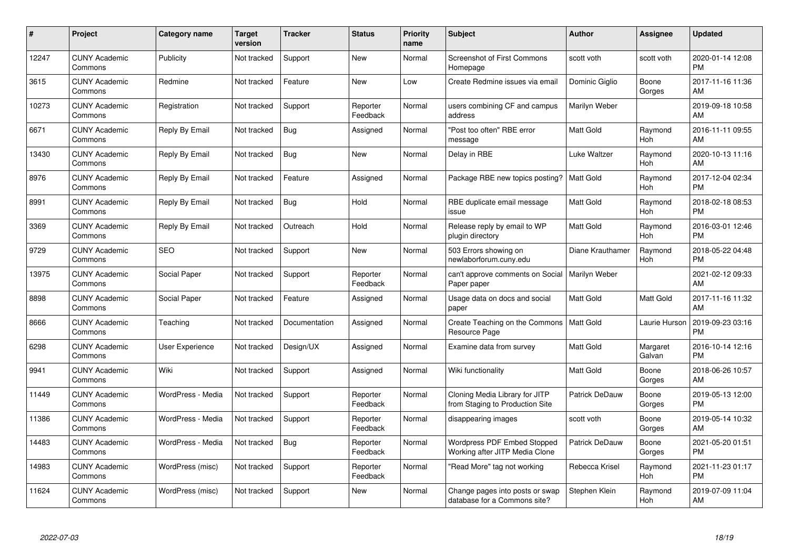| #     | Project                         | <b>Category name</b> | <b>Target</b><br>version | <b>Tracker</b> | <b>Status</b>        | Priority<br>name | <b>Subject</b>                                                    | <b>Author</b>    | <b>Assignee</b>    | <b>Updated</b>                |
|-------|---------------------------------|----------------------|--------------------------|----------------|----------------------|------------------|-------------------------------------------------------------------|------------------|--------------------|-------------------------------|
| 12247 | <b>CUNY Academic</b><br>Commons | Publicity            | Not tracked              | Support        | <b>New</b>           | Normal           | <b>Screenshot of First Commons</b><br>Homepage                    | scott voth       | scott voth         | 2020-01-14 12:08<br><b>PM</b> |
| 3615  | <b>CUNY Academic</b><br>Commons | Redmine              | Not tracked              | Feature        | <b>New</b>           | Low              | Create Redmine issues via email                                   | Dominic Giglio   | Boone<br>Gorges    | 2017-11-16 11:36<br>AM        |
| 10273 | <b>CUNY Academic</b><br>Commons | Registration         | Not tracked              | Support        | Reporter<br>Feedback | Normal           | users combining CF and campus<br>address                          | Marilyn Weber    |                    | 2019-09-18 10:58<br>AM        |
| 6671  | <b>CUNY Academic</b><br>Commons | Reply By Email       | Not tracked              | Bug            | Assigned             | Normal           | "Post too often" RBE error<br>message                             | <b>Matt Gold</b> | Raymond<br>Hoh     | 2016-11-11 09:55<br>AM        |
| 13430 | <b>CUNY Academic</b><br>Commons | Reply By Email       | Not tracked              | <b>Bug</b>     | <b>New</b>           | Normal           | Delay in RBE                                                      | Luke Waltzer     | Raymond<br>Hoh     | 2020-10-13 11:16<br>AM        |
| 8976  | <b>CUNY Academic</b><br>Commons | Reply By Email       | Not tracked              | Feature        | Assigned             | Normal           | Package RBE new topics posting?                                   | <b>Matt Gold</b> | Raymond<br>Hoh     | 2017-12-04 02:34<br><b>PM</b> |
| 8991  | <b>CUNY Academic</b><br>Commons | Reply By Email       | Not tracked              | Bug            | Hold                 | Normal           | RBE duplicate email message<br>issue                              | Matt Gold        | Raymond<br>Hoh     | 2018-02-18 08:53<br><b>PM</b> |
| 3369  | <b>CUNY Academic</b><br>Commons | Reply By Email       | Not tracked              | Outreach       | Hold                 | Normal           | Release reply by email to WP<br>plugin directory                  | Matt Gold        | Raymond<br>Hoh     | 2016-03-01 12:46<br><b>PM</b> |
| 9729  | <b>CUNY Academic</b><br>Commons | <b>SEO</b>           | Not tracked              | Support        | New                  | Normal           | 503 Errors showing on<br>newlaborforum.cuny.edu                   | Diane Krauthamer | Raymond<br>Hoh     | 2018-05-22 04:48<br><b>PM</b> |
| 13975 | <b>CUNY Academic</b><br>Commons | Social Paper         | Not tracked              | Support        | Reporter<br>Feedback | Normal           | can't approve comments on Social<br>Paper paper                   | Marilyn Weber    |                    | 2021-02-12 09:33<br>AM        |
| 8898  | <b>CUNY Academic</b><br>Commons | Social Paper         | Not tracked              | Feature        | Assigned             | Normal           | Usage data on docs and social<br>paper                            | Matt Gold        | Matt Gold          | 2017-11-16 11:32<br>AM        |
| 8666  | <b>CUNY Academic</b><br>Commons | Teaching             | Not tracked              | Documentation  | Assigned             | Normal           | Create Teaching on the Commons<br>Resource Page                   | <b>Matt Gold</b> | Laurie Hurson      | 2019-09-23 03:16<br><b>PM</b> |
| 6298  | <b>CUNY Academic</b><br>Commons | User Experience      | Not tracked              | Design/UX      | Assigned             | Normal           | Examine data from survey                                          | Matt Gold        | Margaret<br>Galvan | 2016-10-14 12:16<br><b>PM</b> |
| 9941  | <b>CUNY Academic</b><br>Commons | Wiki                 | Not tracked              | Support        | Assigned             | Normal           | Wiki functionality                                                | Matt Gold        | Boone<br>Gorges    | 2018-06-26 10:57<br>AM        |
| 11449 | <b>CUNY Academic</b><br>Commons | WordPress - Media    | Not tracked              | Support        | Reporter<br>Feedback | Normal           | Cloning Media Library for JITP<br>from Staging to Production Site | Patrick DeDauw   | Boone<br>Gorges    | 2019-05-13 12:00<br><b>PM</b> |
| 11386 | <b>CUNY Academic</b><br>Commons | WordPress - Media    | Not tracked              | Support        | Reporter<br>Feedback | Normal           | disappearing images                                               | scott voth       | Boone<br>Gorges    | 2019-05-14 10:32<br>AM        |
| 14483 | <b>CUNY Academic</b><br>Commons | WordPress - Media    | Not tracked              | Bug            | Reporter<br>Feedback | Normal           | Wordpress PDF Embed Stopped<br>Working after JITP Media Clone     | Patrick DeDauw   | Boone<br>Gorges    | 2021-05-20 01:51<br><b>PM</b> |
| 14983 | <b>CUNY Academic</b><br>Commons | WordPress (misc)     | Not tracked              | Support        | Reporter<br>Feedback | Normal           | "Read More" tag not working                                       | Rebecca Krisel   | Raymond<br>Hoh     | 2021-11-23 01:17<br><b>PM</b> |
| 11624 | <b>CUNY Academic</b><br>Commons | WordPress (misc)     | Not tracked              | Support        | <b>New</b>           | Normal           | Change pages into posts or swap<br>database for a Commons site?   | Stephen Klein    | Raymond<br>Hoh     | 2019-07-09 11:04<br>AM        |